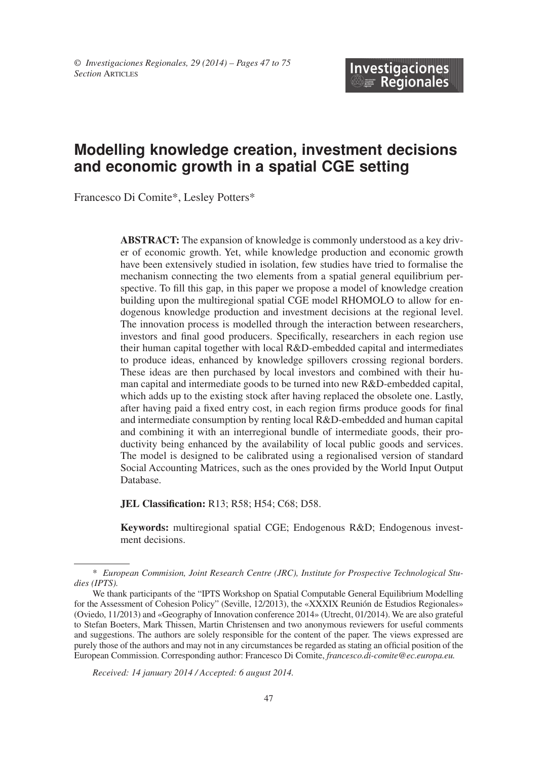# **Modelling knowledge creation, investment decisions and economic growth in a spatial CGE setting**

Francesco Di Comite\*, Lesley Potters\*

**ABSTRACT:** The expansion of knowledge is commonly understood as a key driver of economic growth. Yet, while knowledge production and economic growth have been extensively studied in isolation, few studies have tried to formalise the mechanism connecting the two elements from a spatial general equilibrium perspective. To fill this gap, in this paper we propose a model of knowledge creation building upon the multiregional spatial CGE model RHOMOLO to allow for endogenous knowledge production and investment decisions at the regional level. The innovation process is modelled through the interaction between researchers, investors and final good producers. Specifically, researchers in each region use their human capital together with local R&D-embedded capital and intermediates to produce ideas, enhanced by knowledge spillovers crossing regional borders. These ideas are then purchased by local investors and combined with their human capital and intermediate goods to be turned into new R&D-embedded capital, which adds up to the existing stock after having replaced the obsolete one. Lastly, after having paid a fixed entry cost, in each region firms produce goods for final and intermediate consumption by renting local R&D-embedded and human capital and combining it with an interregional bundle of intermediate goods, their productivity being enhanced by the availability of local public goods and services. The model is designed to be calibrated using a regionalised version of standard Social Accounting Matrices, such as the ones provided by the World Input Output Database.

**JEL Classification:** R13; R58; H54; C68; D58.

**Keywords:** multiregional spatial CGE; Endogenous R&D; Endogenous investment decisions.

*Received: 14 january 2014 / Accepted: 6 august 2014.*

<sup>\*</sup> *European Commision, Joint Research Centre (JRC), Institute for Prospective Technological Studies (IPTS).*

We thank participants of the "IPTS Workshop on Spatial Computable General Equilibrium Modelling for the Assessment of Cohesion Policy" (Seville, 12/2013), the «XXXIX Reunión de Estudios Regionales» (Oviedo, 11/2013) and «Geography of Innovation conference 2014» (Utrecht, 01/2014). We are also grateful to Stefan Boeters, Mark Thissen, Martin Christensen and two anonymous reviewers for useful comments and suggestions. The authors are solely responsible for the content of the paper. The views expressed are purely those of the authors and may not in any circumstances be regarded as stating an official position of the European Commission. Corresponding author: Francesco Di Comite, *francesco.di-comite@ec.europa.eu.*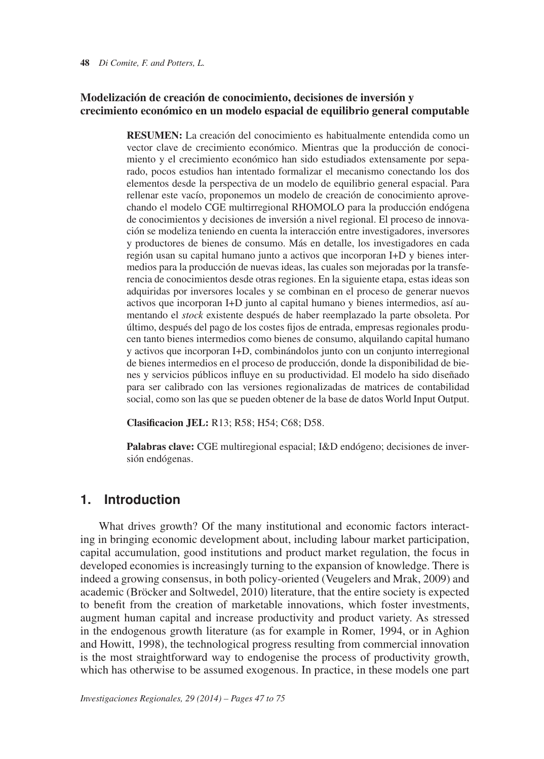#### **48** *Di Comite, F. and Potters, L.*

### **Modelización de creación de conocimiento, decisiones de inversión y crecimiento económico en un modelo espacial de equilibrio general computable**

**RESUMEn:** La creación del conocimiento es habitualmente entendida como un vector clave de crecimiento económico. Mientras que la producción de conocimiento y el crecimiento económico han sido estudiados extensamente por separado, pocos estudios han intentado formalizar el mecanismo conectando los dos elementos desde la perspectiva de un modelo de equilibrio general espacial. Para rellenar este vacío, proponemos un modelo de creación de conocimiento aprovechando el modelo CGE multirregional RHOMOLO para la producción endógena de conocimientos y decisiones de inversión a nivel regional. El proceso de innovación se modeliza teniendo en cuenta la interacción entre investigadores, inversores y productores de bienes de consumo. Más en detalle, los investigadores en cada región usan su capital humano junto a activos que incorporan I+D y bienes intermedios para la producción de nuevas ideas, las cuales son mejoradas por la transferencia de conocimientos desde otras regiones. En la siguiente etapa, estas ideas son adquiridas por inversores locales y se combinan en el proceso de generar nuevos activos que incorporan I+D junto al capital humano y bienes intermedios, así aumentando el *stock* existente después de haber reemplazado la parte obsoleta. Por último, después del pago de los costes fijos de entrada, empresas regionales producen tanto bienes intermedios como bienes de consumo, alquilando capital humano y activos que incorporan I+D, combinándolos junto con un conjunto interregional de bienes intermedios en el proceso de producción, donde la disponibilidad de bienes y servicios públicos influye en su productividad. El modelo ha sido diseñado para ser calibrado con las versiones regionalizadas de matrices de contabilidad social, como son las que se pueden obtener de la base de datos World Input Output.

**Clasificacion JEL:** R13; R58; H54; C68; D58.

**Palabras clave:** CGE multiregional espacial; I&D endógeno; decisiones de inversión endógenas.

# **1. Introduction**

What drives growth? Of the many institutional and economic factors interacting in bringing economic development about, including labour market participation, capital accumulation, good institutions and product market regulation, the focus in developed economies is increasingly turning to the expansion of knowledge. There is indeed a growing consensus, in both policy-oriented (Veugelers and Mrak, 2009) and academic (Bröcker and Soltwedel, 2010) literature, that the entire society is expected to benefit from the creation of marketable innovations, which foster investments, augment human capital and increase productivity and product variety. As stressed in the endogenous growth literature (as for example in Romer, 1994, or in Aghion and Howitt, 1998), the technological progress resulting from commercial innovation is the most straightforward way to endogenise the process of productivity growth, which has otherwise to be assumed exogenous. In practice, in these models one part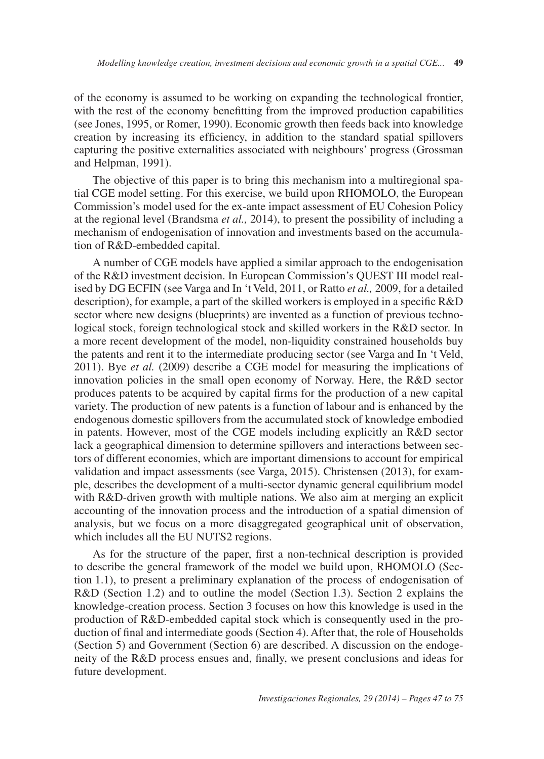of the economy is assumed to be working on expanding the technological frontier, with the rest of the economy benefitting from the improved production capabilities (see Jones, 1995, or Romer, 1990). Economic growth then feeds back into knowledge creation by increasing its efficiency, in addition to the standard spatial spillovers capturing the positive externalities associated with neighbours' progress (Grossman and Helpman, 1991).

The objective of this paper is to bring this mechanism into a multiregional spatial CGE model setting. For this exercise, we build upon RHOMOLO, the European Commission's model used for the ex-ante impact assessment of EU Cohesion Policy at the regional level (Brandsma *et al.,* 2014), to present the possibility of including a mechanism of endogenisation of innovation and investments based on the accumulation of R&D-embedded capital.

A number of CGE models have applied a similar approach to the endogenisation of the R&D investment decision. In European Commission's QUEST III model realised by DG ECFIN (see Varga and In 't Veld, 2011, or Ratto *et al.,* 2009, for a detailed description), for example, a part of the skilled workers is employed in a specific R&D sector where new designs (blueprints) are invented as a function of previous technological stock, foreign technological stock and skilled workers in the R&D sector. In a more recent development of the model, non-liquidity constrained households buy the patents and rent it to the intermediate producing sector (see Varga and In 't Veld, 2011). Bye *et al.* (2009) describe a CGE model for measuring the implications of innovation policies in the small open economy of Norway. Here, the R&D sector produces patents to be acquired by capital firms for the production of a new capital variety. The production of new patents is a function of labour and is enhanced by the endogenous domestic spillovers from the accumulated stock of knowledge embodied in patents. However, most of the CGE models including explicitly an R&D sector lack a geographical dimension to determine spillovers and interactions between sectors of different economies, which are important dimensions to account for empirical validation and impact assessments (see Varga, 2015). Christensen (2013), for example, describes the development of a multi-sector dynamic general equilibrium model with R&D-driven growth with multiple nations. We also aim at merging an explicit accounting of the innovation process and the introduction of a spatial dimension of analysis, but we focus on a more disaggregated geographical unit of observation, which includes all the EU NUTS2 regions.

As for the structure of the paper, first a non-technical description is provided to describe the general framework of the model we build upon, RHOMOLO (Section 1.1), to present a preliminary explanation of the process of endogenisation of R&D (Section 1.2) and to outline the model (Section 1.3). Section 2 explains the knowledge-creation process. Section 3 focuses on how this knowledge is used in the production of R&D-embedded capital stock which is consequently used in the production of final and intermediate goods (Section 4). After that, the role of Households (Section 5) and Government (Section 6) are described. A discussion on the endogeneity of the R&D process ensues and, finally, we present conclusions and ideas for future development.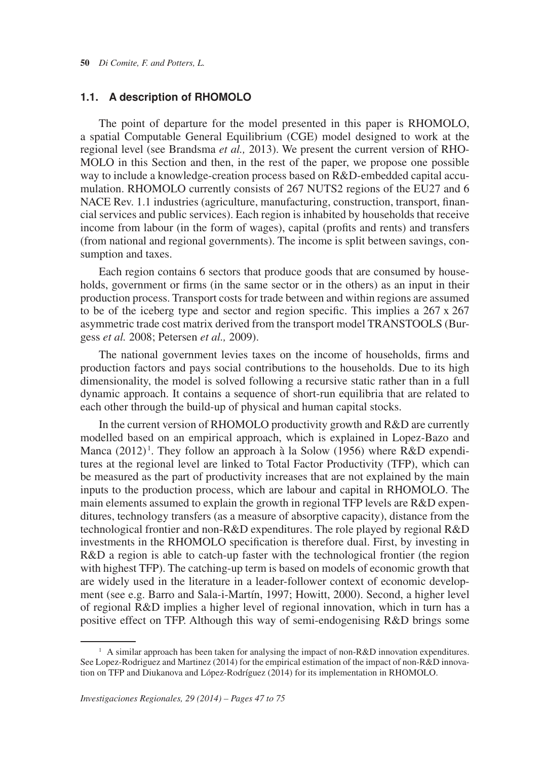### **1.1. A description of RHOMOLO**

The point of departure for the model presented in this paper is RHOMOLO, a spatial Computable General Equilibrium (CGE) model designed to work at the regional level (see Brandsma *et al.,* 2013). We present the current version of RHO-MOLO in this Section and then, in the rest of the paper, we propose one possible way to include a knowledge-creation process based on R&D-embedded capital accumulation. RHOMOLO currently consists of 267 NUTS2 regions of the EU27 and 6 NACE Rev. 1.1 industries (agriculture, manufacturing, construction, transport, financial services and public services). Each region is inhabited by households that receive income from labour (in the form of wages), capital (profits and rents) and transfers (from national and regional governments). The income is split between savings, consumption and taxes.

 to be of the iceberg type and sector and region specific. This implies a 267 x 267 Each region contains 6 sectors that produce goods that are consumed by households, government or firms (in the same sector or in the others) as an input in their production process. Transport costs for trade between and within regions are assumed asymmetric trade cost matrix derived from the transport model TRANSTOOLS (Burgess *et al.* 2008; Petersen *et al.,* 2009).

The national government levies taxes on the income of households, firms and production factors and pays social contributions to the households. Due to its high dimensionality, the model is solved following a recursive static rather than in a full dynamic approach. It contains a sequence of short-run equilibria that are related to each other through the build-up of physical and human capital stocks.

Manca (2012)<sup>1</sup>. They follow an approach à la Solow (1956) where R&D expendi-In the current version of RHOMOLO productivity growth and R&D are currently modelled based on an empirical approach, which is explained in Lopez-Bazo and tures at the regional level are linked to Total Factor Productivity (TFP), which can be measured as the part of productivity increases that are not explained by the main inputs to the production process, which are labour and capital in RHOMOLO. The main elements assumed to explain the growth in regional TFP levels are R&D expenditures, technology transfers (as a measure of absorptive capacity), distance from the technological frontier and non-R&D expenditures. The role played by regional R&D investments in the RHOMOLO specification is therefore dual. First, by investing in R&D a region is able to catch-up faster with the technological frontier (the region with highest TFP). The catching-up term is based on models of economic growth that are widely used in the literature in a leader-follower context of economic development (see e.g. Barro and Sala-i-Martín, 1997; Howitt, 2000). Second, a higher level of regional R&D implies a higher level of regional innovation, which in turn has a positive effect on TFP. Although this way of semi-endogenising R&D brings some

 $1$  A similar approach has been taken for analysing the impact of non-R&D innovation expenditures. See Lopez-Rodriguez and Martinez (2014) for the empirical estimation of the impact of non-R&D innovation on TFP and Diukanova and López-Rodríguez (2014) for its implementation in RHOMOLO.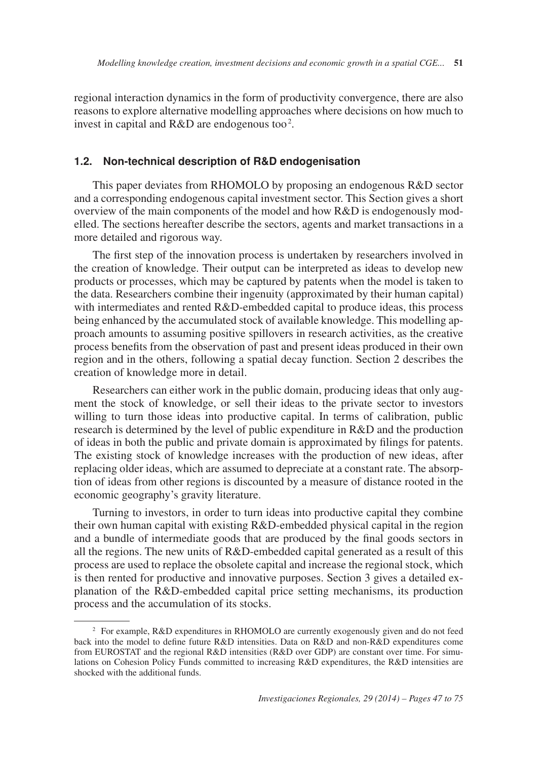invest in capital and  $R&D$  are endogenous too<sup>2</sup>. regional interaction dynamics in the form of productivity convergence, there are also reasons to explore alternative modelling approaches where decisions on how much to

### **1.2. Non-technical description of R&D endogenisation**

This paper deviates from RHOMOLO by proposing an endogenous R&D sector and a corresponding endogenous capital investment sector. This Section gives a short overview of the main components of the model and how R&D is endogenously modelled. The sections hereafter describe the sectors, agents and market transactions in a more detailed and rigorous way.

The first step of the innovation process is undertaken by researchers involved in the creation of knowledge. Their output can be interpreted as ideas to develop new products or processes, which may be captured by patents when the model is taken to the data. Researchers combine their ingenuity (approximated by their human capital) with intermediates and rented R&D-embedded capital to produce ideas, this process being enhanced by the accumulated stock of available knowledge. This modelling approach amounts to assuming positive spillovers in research activities, as the creative process benefits from the observation of past and present ideas produced in their own region and in the others, following a spatial decay function. Section 2 describes the creation of knowledge more in detail.

Researchers can either work in the public domain, producing ideas that only augment the stock of knowledge, or sell their ideas to the private sector to investors willing to turn those ideas into productive capital. In terms of calibration, public research is determined by the level of public expenditure in R&D and the production of ideas in both the public and private domain is approximated by filings for patents. The existing stock of knowledge increases with the production of new ideas, after replacing older ideas, which are assumed to depreciate at a constant rate. The absorption of ideas from other regions is discounted by a measure of distance rooted in the economic geography's gravity literature.

Turning to investors, in order to turn ideas into productive capital they combine their own human capital with existing R&D-embedded physical capital in the region and a bundle of intermediate goods that are produced by the final goods sectors in all the regions. The new units of R&D-embedded capital generated as a result of this process are used to replace the obsolete capital and increase the regional stock, which is then rented for productive and innovative purposes. Section 3 gives a detailed explanation of the R&D-embedded capital price setting mechanisms, its production process and the accumulation of its stocks.

<sup>2</sup> For example, R&D expenditures in RHOMOLO are currently exogenously given and do not feed back into the model to define future R&D intensities. Data on R&D and non-R&D expenditures come from EUROSTAT and the regional R&D intensities (R&D over GDP) are constant over time. For simulations on Cohesion Policy Funds committed to increasing R&D expenditures, the R&D intensities are shocked with the additional funds.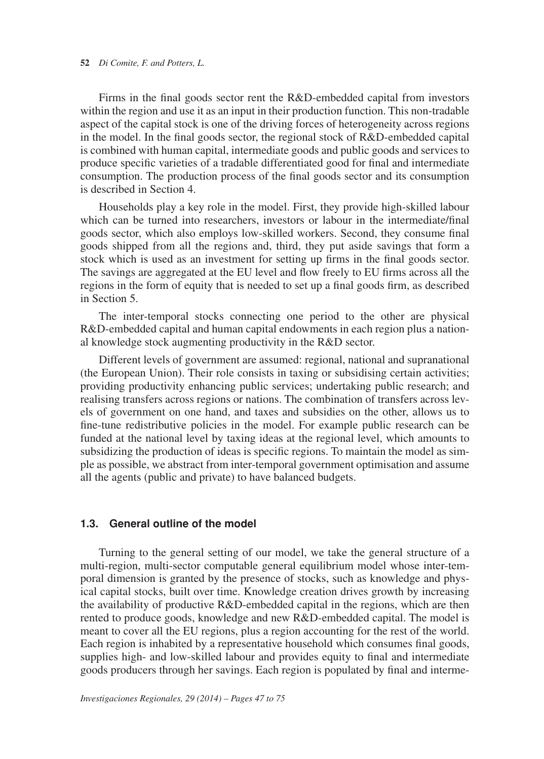Firms in the final goods sector rent the R&D-embedded capital from investors within the region and use it as an input in their production function. This non-tradable aspect of the capital stock is one of the driving forces of heterogeneity across regions in the model. In the final goods sector, the regional stock of R&D-embedded capital is combined with human capital, intermediate goods and public goods and services to produce specific varieties of a tradable differentiated good for final and intermediate consumption. The production process of the final goods sector and its consumption is described in Section 4.

Households play a key role in the model. First, they provide high-skilled labour which can be turned into researchers, investors or labour in the intermediate/final goods sector, which also employs low-skilled workers. Second, they consume final goods shipped from all the regions and, third, they put aside savings that form a stock which is used as an investment for setting up firms in the final goods sector. The savings are aggregated at the EU level and flow freely to EU firms across all the regions in the form of equity that is needed to set up a final goods firm, as described in Section 5.

The inter-temporal stocks connecting one period to the other are physical R&D-embedded capital and human capital endowments in each region plus a national knowledge stock augmenting productivity in the R&D sector.

Different levels of government are assumed: regional, national and supranational (the European Union). Their role consists in taxing or subsidising certain activities; providing productivity enhancing public services; undertaking public research; and realising transfers across regions or nations. The combination of transfers across levels of government on one hand, and taxes and subsidies on the other, allows us to fine-tune redistributive policies in the model. For example public research can be funded at the national level by taxing ideas at the regional level, which amounts to subsidizing the production of ideas is specific regions. To maintain the model as simple as possible, we abstract from inter-temporal government optimisation and assume all the agents (public and private) to have balanced budgets.

#### **1.3. General outline of the model**

Turning to the general setting of our model, we take the general structure of a multi-region, multi-sector computable general equilibrium model whose inter-temporal dimension is granted by the presence of stocks, such as knowledge and physical capital stocks, built over time. Knowledge creation drives growth by increasing the availability of productive R&D-embedded capital in the regions, which are then rented to produce goods, knowledge and new R&D-embedded capital. The model is meant to cover all the EU regions, plus a region accounting for the rest of the world. Each region is inhabited by a representative household which consumes final goods, supplies high- and low-skilled labour and provides equity to final and intermediate goods producers through her savings. Each region is populated by final and interme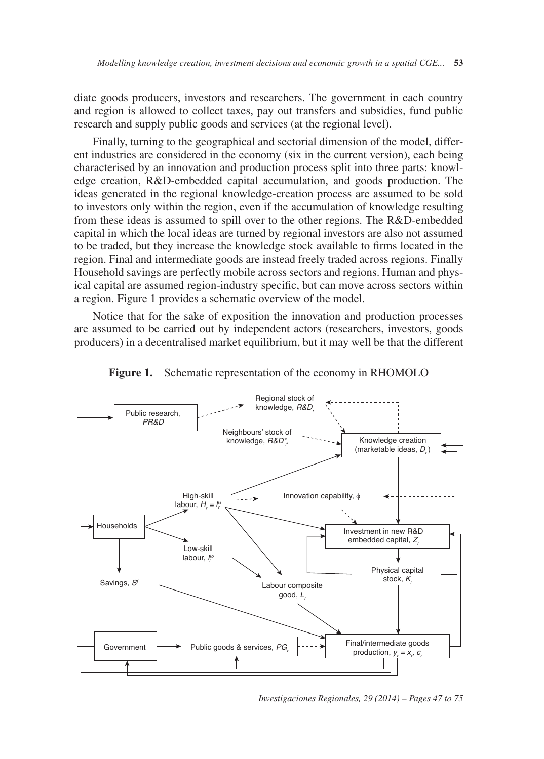diate goods producers, investors and researchers. The government in each country and region is allowed to collect taxes, pay out transfers and subsidies, fund public research and supply public goods and services (at the regional level).

Finally, turning to the geographical and sectorial dimension of the model, different industries are considered in the economy (six in the current version), each being characterised by an innovation and production process split into three parts: knowledge creation, R&D-embedded capital accumulation, and goods production. The ideas generated in the regional knowledge-creation process are assumed to be sold to investors only within the region, even if the accumulation of knowledge resulting from these ideas is assumed to spill over to the other regions. The R&D-embedded capital in which the local ideas are turned by regional investors are also not assumed to be traded, but they increase the knowledge stock available to firms located in the region. Final and intermediate goods are instead freely traded across regions. Finally Household savings are perfectly mobile across sectors and regions. Human and physical capital are assumed region-industry specific, but can move across sectors within a region. Figure 1 provides a schematic overview of the model.

Notice that for the sake of exposition the innovation and production processes are assumed to be carried out by independent actors (researchers, investors, goods producers) in a decentralised market equilibrium, but it may well be that the different



**Figure 1.** Schematic representation of the economy in RHOMOLO

*Investigaciones Regionales, 29 (2014) – Pages 47 to 75*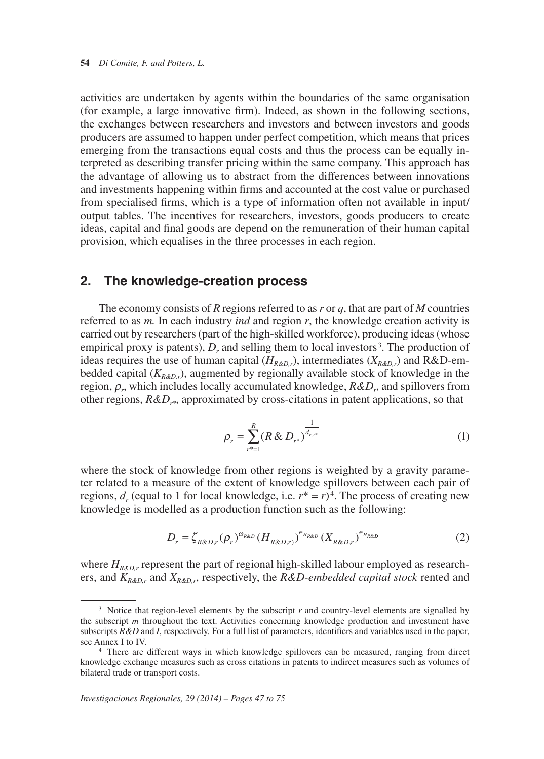activities are undertaken by agents within the boundaries of the same organisation (for example, a large innovative firm). Indeed, as shown in the following sections, the exchanges between researchers and investors and between investors and goods producers are assumed to happen under perfect competition, which means that prices emerging from the transactions equal costs and thus the process can be equally interpreted as describing transfer pricing within the same company. This approach has the advantage of allowing us to abstract from the differences between innovations and investments happening within firms and accounted at the cost value or purchased from specialised firms, which is a type of information often not available in input/ output tables. The incentives for researchers, investors, goods producers to create ideas, capital and final goods are depend on the remuneration of their human capital provision, which equalises in the three processes in each region.

## **2. The knowledge-creation process**

empirical proxy is patents),  $D_r$  and selling them to local investors<sup>3</sup>. The production of The economy consists of *R* regions referred to as *r* or *q*, that are part of *M* countries referred to as *m.* In each industry *ind* and region *r*, the knowledge creation activity is carried out by researchers (part of the high-skilled workforce), producing ideas (whose ideas requires the use of human capital  $(H_{R\&D_r})$ , intermediates  $(X_{R\&D_r})$  and R&D-embedded capital  $(K_{R\&D_r})$ , augmented by regionally available stock of knowledge in the region, ρ*r*, which includes locally accumulated knowledge, *R&Dr*, and spillovers from other regions,  $R&D_{r^*}$ , approximated by cross-citations in patent applications, so that

$$
\rho_r = \sum_{r^* = 1}^R (R \& D_{r^*})^{\frac{1}{d_{r,r^*}}} \tag{1}
$$

regions,  $d_r$  (equal to 1 for local knowledge, i.e.  $r^* = r$ )<sup>4</sup>. The process of creating new where the stock of knowledge from other regions is weighted by a gravity parameter related to a measure of the extent of knowledge spillovers between each pair of knowledge is modelled as a production function such as the following:

$$
D_r = \zeta_{R\&D,r}(\rho_r)^{\omega_{R\&D}}(H_{R\&D,r})^{\epsilon_{H_{R\&D}}}(X_{R\&D,r})^{\epsilon_{H_{R\&D}}}
$$
(2)

where  $H_{R\&D,r}$  represent the part of regional high-skilled labour employed as researchers, and  $K_{R\&D,r}$  and  $X_{R\&D,r}$ , respectively, the *R&D-embedded capital stock* rented and

<sup>&</sup>lt;sup>3</sup> Notice that region-level elements by the subscript *r* and country-level elements are signalled by the subscript *m* throughout the text. Activities concerning knowledge production and investment have subscripts *R&D* and *I*, respectively. For a full list of parameters, identifiers and variables used in the paper, see Annex I to IV.<br><sup>4</sup> There are different ways in which knowledge spillovers can be measured, ranging from direct

knowledge exchange measures such as cross citations in patents to indirect measures such as volumes of bilateral trade or transport costs.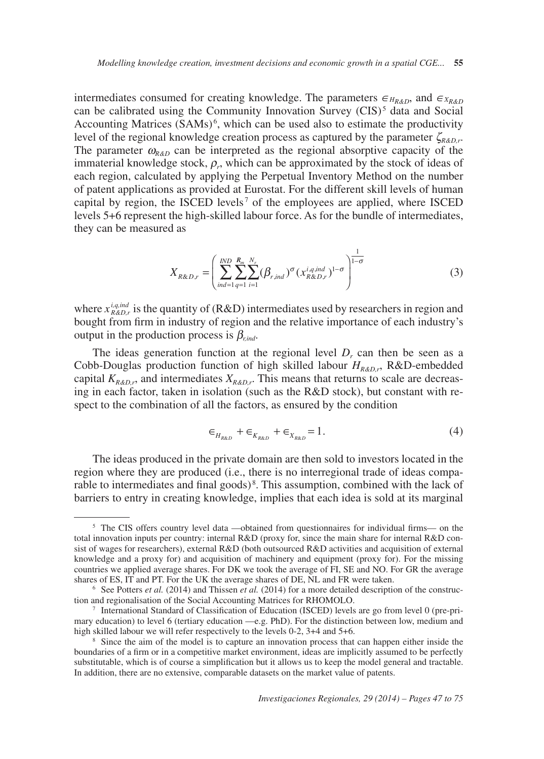can be calibrated using the Community Innovation Survey (CIS)<sup>5</sup> data and Social Accounting Matrices  $(SAMs)<sup>6</sup>$ , which can be used also to estimate the productivity capital by region, the ISCED levels<sup> $7$ </sup> of the employees are applied, where ISCED intermediates consumed for creating knowledge. The parameters  $\epsilon_{H_{R\&D}}$ , and  $\epsilon_{X_{R\&D}}$ level of the regional knowledge creation process as captured by the parameter  $\zeta_{R\&D,r}$ . The parameter  $\omega_{\kappa_{\ell D}}$  can be interpreted as the regional absorptive capacity of the immaterial knowledge stock,  $\rho_r$ , which can be approximated by the stock of ideas of each region, calculated by applying the Perpetual Inventory Method on the number of patent applications as provided at Eurostat. For the different skill levels of human levels 5+6 represent the high-skilled labour force. As for the bundle of intermediates, they can be measured as

$$
X_{R\&D,r} = \left(\sum_{ind=1}^{IND} \sum_{q=1}^{R_m} \sum_{i=1}^{N_r} (\beta_{r,ind})^{\sigma} (x_{R\&D,r}^{i,q,ind})^{1-\sigma}\right)^{\frac{1}{1-\sigma}}
$$
(3)

where  $x_{R\&D}^{i,q,\text{ind}}$  is the quantity of (R&D) intermediates used by researchers in region and bought from firm in industry of region and the relative importance of each industry's output in the production process is  $\beta_{\text{rind}}$ .

The ideas generation function at the regional level  $D<sub>r</sub>$  can then be seen as a Cobb-Douglas production function of high skilled labour *HR&D,r*, R&D-embedded capital  $K_{R\&D,r}$ , and intermediates  $X_{R\&D,r}$ . This means that returns to scale are decreasing in each factor, taken in isolation (such as the  $R&D$  stock), but constant with respect to the combination of all the factors, as ensured by the condition

$$
\epsilon_{H_{R\&D}} + \epsilon_{K_{R\&D}} + \epsilon_{X_{R\&D}} = 1. \tag{4}
$$

rable to intermediates and final goods)<sup>8</sup>. This assumption, combined with the lack of The ideas produced in the private domain are then sold to investors located in the region where they are produced (i.e., there is no interregional trade of ideas compabarriers to entry in creating knowledge, implies that each idea is sold at its marginal

<sup>&</sup>lt;sup>5</sup> The CIS offers country level data —obtained from questionnaires for individual firms— on the total innovation inputs per country: internal R&D (proxy for, since the main share for internal R&D consist of wages for researchers), external R&D (both outsourced R&D activities and acquisition of external knowledge and a proxy for) and acquisition of machinery and equipment (proxy for). For the missing countries we applied average shares. For DK we took the average of FI, SE and NO. For GR the average shares of ES, IT and PT. For the UK the average shares of DE, NL and FR were taken.<br><sup>6</sup> See Potters *et al.* (2014) and Thissen *et al.* (2014) for a more detailed description of the construc-

tion and regionalisation of the Social Accounting Matrices for RHOMOLO.<br><sup>7</sup> International Standard of Classification of Education (ISCED) levels are go from level 0 (pre-pri-

mary education) to level 6 (tertiary education —e.g. PhD). For the distinction between low, medium and high skilled labour we will refer respectively to the levels 0-2, 3+4 and 5+6.<br><sup>8</sup> Since the aim of the model is to capture an innovation process that can happen either inside the

boundaries of a firm or in a competitive market environment, ideas are implicitly assumed to be perfectly substitutable, which is of course a simplification but it allows us to keep the model general and tractable. In addition, there are no extensive, comparable datasets on the market value of patents.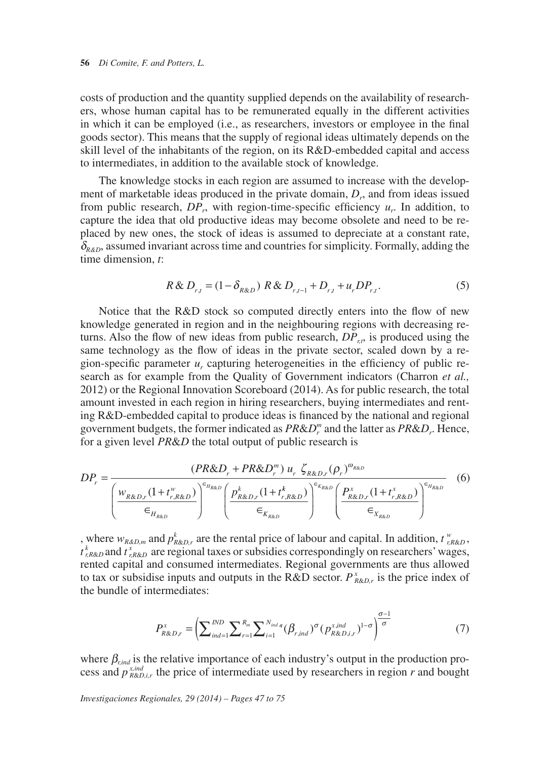costs of production and the quantity supplied depends on the availability of researchers, whose human capital has to be remunerated equally in the different activities in which it can be employed (i.e., as researchers, investors or employee in the final goods sector). This means that the supply of regional ideas ultimately depends on the skill level of the inhabitants of the region, on its R&D-embedded capital and access to intermediates, in addition to the available stock of knowledge.

The knowledge stocks in each region are assumed to increase with the development of marketable ideas produced in the private domain,  $D<sub>r</sub>$ , and from ideas issued from public research,  $DP_r$ , with region-time-specific efficiency  $u_r$ . In addition, to capture the idea that old productive ideas may become obsolete and need to be replaced by new ones, the stock of ideas is assumed to depreciate at a constant rate,  $\delta_{R\&D}$ , assumed invariant across time and countries for simplicity. Formally, adding the time dimension, *t*:

$$
R \& D_{r,t} = (1 - \delta_{R\&D}) \, R \& D_{r,t-1} + D_{r,t} + u_r D P_{r,t}.
$$
 (5)

Notice that the R&D stock so computed directly enters into the flow of new knowledge generated in region and in the neighbouring regions with decreasing returns. Also the flow of new ideas from public research,  $DP_{r}$ , is produced using the same technology as the flow of ideas in the private sector, scaled down by a region-specific parameter  $u_r$  capturing heterogeneities in the efficiency of public research as for example from the Quality of Government indicators (Charron *et al.,* 2012) or the Regional Innovation Scoreboard (2014). As for public research, the total amount invested in each region in hiring researchers, buying intermediates and renting R&D-embedded capital to produce ideas is financed by the national and regional government budgets, the former indicated as *PR*&*D<sup>m</sup> <sup>r</sup>* and the latter as *PR*&*Dr*. Hence, for a given level *PR*&*D* the total output of public research is

$$
DP_r = \frac{(PR\&D_r + PR\&D_r^m) u_r \zeta_{R\&D_r} (\rho_r)^{\omega_{R\&D}}}{\left(\frac{w_{R\&D_r}(1+t_{r,R\&D}^w)}{\epsilon_{H_{R\&D}}}\right)^{\epsilon_{H_{R\&D}}}\left(\frac{p_{R\&D_r}^k(1+t_{r,R\&D}^k)}{\epsilon_{K_{R\&D}}}\right)^{\epsilon_{K_{R\&D}}}\left(\frac{P_{R\&D_r}^x(1+t_{r,R\&D}^k)}{\epsilon_{K_{R\&D}}}\right)^{\epsilon_{H_{R\&D}}}
$$
(6)

, where  $w_{R\&D,m}$  and  $p^k_{R\&D,r}$  are the rental price of labour and capital. In addition,  $t^w_{R\&D}$ , *t*<sup>*k*</sup><sub>*r,R&D*</sub> and *t*<sup>*x*</sup><sub>*r,R&D*</sub> are regional taxes or subsidies correspondingly on researchers' wages, rented capital and consumed intermediates. Regional governments are thus allowed to tax or subsidise inputs and outputs in the R&D sector.  $P_{R\&D,r}^x$  is the price index of the bundle of intermediates:

$$
P_{R\&D,r}^{x} = \left(\sum_{ind=1}^{IND} \sum_{r=1}^{R_m} \sum_{i=1}^{N_{ind,q}} (\beta_{r,ind})^{\sigma} (p_{R\&D,i,r}^{x,ind})^{1-\sigma}\right)^{\frac{\sigma-1}{\sigma}}
$$
(7)

where  $\beta_{\text{r,ind}}$  is the relative importance of each industry's output in the production process and  $p_{\text{R&D},i}^{\text{x,ind}}$  the price of intermediate used by researchers in region *r* and bought

*Investigaciones Regionales, 29 (2014) – Pages 47 to 75*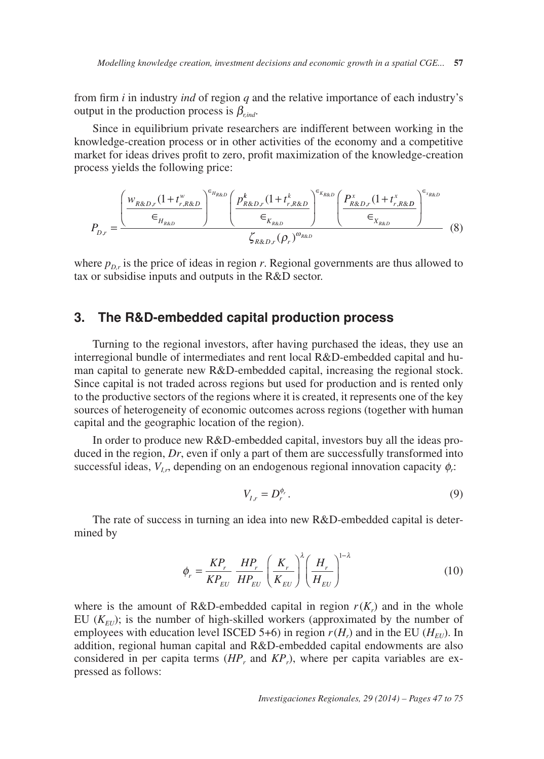*Modelling knowledge creation, investment decisions and economic growth in a spatial CGE...* **57** 

from firm *i* in industry *ind* of region *q* and the relative importance of each industry's output in the production process is  $\beta_{\text{rad}}$ .

Since in equilibrium private researchers are indifferent between working in the knowledge-creation process or in other activities of the economy and a competitive market for ideas drives profit to zero, profit maximization of the knowledge-creation process yields the following price:

$$
P_{D,r} = \frac{\left(\frac{w_{R\&D,r}(1+t_{r,R\&D}^{w}}{\epsilon_{H_{R\&D}}}\right)^{\epsilon_{H_{R\&D}}}\left(\frac{p_{R\&D,r}^{k}(1+t_{r,R\&D}^{k})}{\epsilon_{K_{R\&D}}}\right)^{\epsilon_{K\&D,r}(1+t_{r,R\&D}^{x})}\left(\frac{p_{R\&D,r}^{x}(1+t_{r,R\&D}^{x})}{\epsilon_{K_{R\&D}}}\right)^{\epsilon_{K\&D,r}}(8)
$$

where  $p_{D,r}$  is the price of ideas in region *r*. Regional governments are thus allowed to tax or subsidise inputs and outputs in the R&D sector.

## **3. The R&D-embedded capital production process**

Turning to the regional investors, after having purchased the ideas, they use an interregional bundle of intermediates and rent local R&D-embedded capital and human capital to generate new R&D-embedded capital, increasing the regional stock. Since capital is not traded across regions but used for production and is rented only to the productive sectors of the regions where it is created, it represents one of the key sources of heterogeneity of economic outcomes across regions (together with human capital and the geographic location of the region).

In order to produce new R&D-embedded capital, investors buy all the ideas produced in the region, *Dr*, even if only a part of them are successfully transformed into successful ideas,  $V_{I_r}$ , depending on an endogenous regional innovation capacity  $\phi_r$ .

$$
V_{I,r} = D_r^{\phi_r}.
$$
\n<sup>(9)</sup>

The rate of success in turning an idea into new R&D-embedded capital is determined by

$$
\phi_r = \frac{KP_r}{KP_{EU}} \frac{HP_r}{HP_{EU}} \left(\frac{K_r}{K_{EU}}\right)^{\lambda} \left(\frac{H_r}{H_{EU}}\right)^{1-\lambda}
$$
(10)

where is the amount of R&D-embedded capital in region  $r(K<sub>r</sub>)$  and in the whole EU  $(K_{EU})$ ; is the number of high-skilled workers (approximated by the number of employees with education level ISCED 5+6) in region  $r(H_r)$  and in the EU ( $H_{\text{EU}}$ ). In addition, regional human capital and R&D-embedded capital endowments are also considered in per capita terms (*HPr* and *KPr*), where per capita variables are expressed as follows: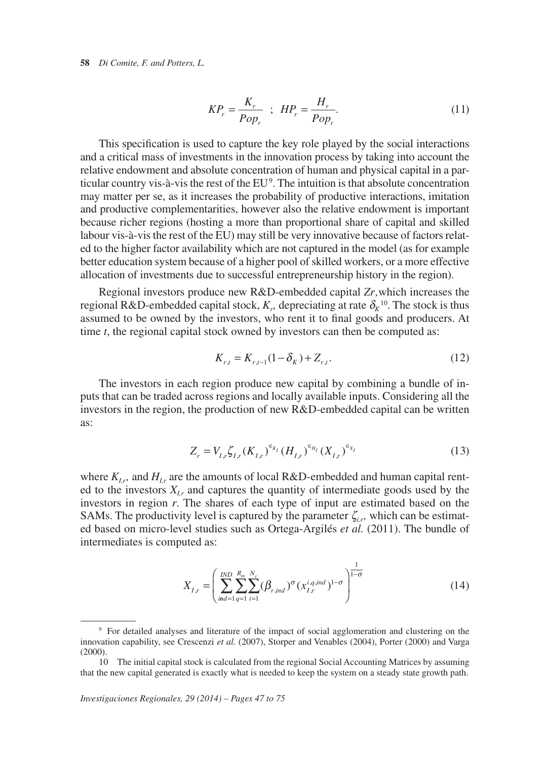#### **58** *Di Comite, F. and Potters, L.*

$$
KP_r = \frac{K_r}{Pop_r} \quad ; \quad HP_r = \frac{H_r}{Pop_r}.\tag{11}
$$

ticular country vis-à-vis the rest of the  $EU^9$ . The intuition is that absolute concentration This specification is used to capture the key role played by the social interactions and a critical mass of investments in the innovation process by taking into account the relative endowment and absolute concentration of human and physical capital in a parmay matter per se, as it increases the probability of productive interactions, imitation and productive complementarities, however also the relative endowment is important because richer regions (hosting a more than proportional share of capital and skilled labour vis-à-vis the rest of the EU) may still be very innovative because of factors related to the higher factor availability which are not captured in the model (as for example better education system because of a higher pool of skilled workers, or a more effective allocation of investments due to successful entrepreneurship history in the region).

regional R&D-embedded capital stock,  $K_r$ , depreciating at rate  $\delta_K^{10}$ . The stock is thus Regional investors produce new R&D-embedded capital *Zr,*which increases the assumed to be owned by the investors, who rent it to final goods and producers. At time *t*, the regional capital stock owned by investors can then be computed as:

$$
K_{r,t} = K_{r,t-1}(1 - \delta_K) + Z_{r,t}.
$$
\n(12)

The investors in each region produce new capital by combining a bundle of inputs that can be traded across regions and locally available inputs. Considering all the investors in the region, the production of new R&D-embedded capital can be written as:

$$
Z_r = V_{I,r} \zeta_{I,r} (K_{I,r})^{\epsilon_{K_I}} (H_{I,r})^{\epsilon_{H_I}} (X_{I,r})^{\epsilon_{X_I}}
$$
\n(13)

where  $K_{I,r}$ , and  $H_{I,r}$  are the amounts of local R&D-embedded and human capital rented to the investors  $X_{I_r}$  and captures the quantity of intermediate goods used by the investors in region *r*. The shares of each type of input are estimated based on the SAMs. The productivity level is captured by the parameter  $\zeta_i$ , which can be estimated based on micro-level studies such as Ortega-Argilés *et al.* (2011). The bundle of intermediates is computed as:

$$
X_{I,r} = \left(\sum_{ind=1}^{IND} \sum_{q=1}^{R_m} \sum_{i=1}^{N_r} (\beta_{r,ind})^{\sigma} (x_{I,r}^{i,q,ind})^{1-\sigma}\right)^{\frac{1}{1-\sigma}}
$$
(14)

<sup>9</sup> For detailed analyses and literature of the impact of social agglomeration and clustering on the innovation capability, see Crescenzi *et al.* (2007), Storper and Venables (2004), Porter (2000) and Varga (2000).

<sup>10</sup> The initial capital stock is calculated from the regional Social Accounting Matrices by assuming that the new capital generated is exactly what is needed to keep the system on a steady state growth path.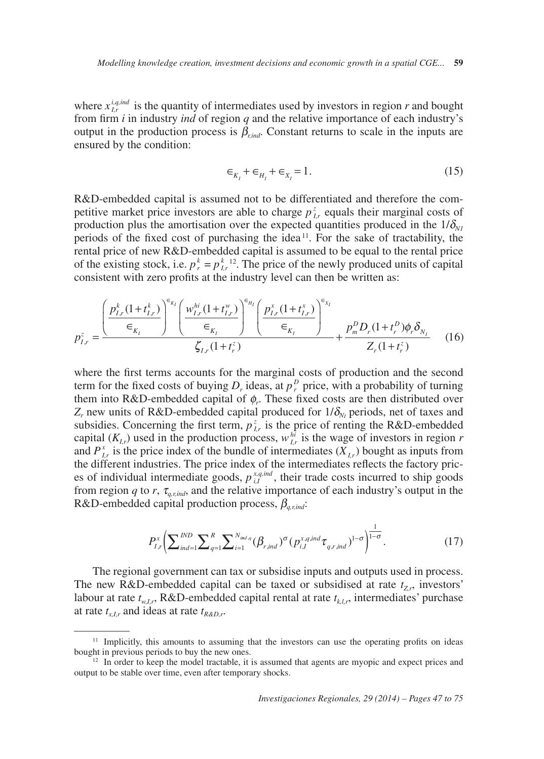where  $x_{Lr}^{i,q,ind}$  is the quantity of intermediates used by investors in region *r* and bought from firm *i* in industry *ind* of region *q* and the relative importance of each industry's output in the production process is  $\beta_{\text{right}}$ . Constant returns to scale in the inputs are ensured by the condition:

$$
\epsilon_{K_1} + \epsilon_{H_1} + \epsilon_{X_1} = 1.
$$
 (15)

periods of the fixed cost of purchasing the idea<sup>11</sup>. For the sake of tractability, the of the existing stock, i.e.  $p_r^k = p_{i,r}^{k}$  12. The price of the newly produced units of capital R&D-embedded capital is assumed not to be differentiated and therefore the competitive market price investors are able to charge  $p_{ir}^z$  equals their marginal costs of production plus the amortisation over the expected quantities produced in the  $1/\delta_{\rm M1}$ rental price of new R&D-embedded capital is assumed to be equal to the rental price consistent with zero profits at the industry level can then be written as:

$$
p_{I,r}^{z} = \frac{\left(\frac{p_{I,r}^{k}(1+t_{I,r}^{k})}{\epsilon_{K_{I}}}\right)^{\epsilon_{K_{I}}}\left(\frac{w_{I,r}^{hi}(1+t_{I,r}^{w})}{\epsilon_{K_{I}}}\right)^{\epsilon_{H_{I}}}\left(\frac{p_{I,r}^{x}(1+t_{I,r}^{x})}{\epsilon_{K_{I}}}\right)^{\epsilon_{K_{I}}}}{\zeta_{I,r}(1+t_{r}^{z})} + \frac{p_{m}^{D}D_{r}(1+t_{r}^{D})\phi_{r}\delta_{N_{I}}}{Z_{r}(1+t_{r}^{z})}
$$
(16)

where the first terms accounts for the marginal costs of production and the second term for the fixed costs of buying  $D_r$  ideas, at  $p_r^D$  price, with a probability of turning them into R&D-embedded capital of  $\phi_r$ . These fixed costs are then distributed over  $Z_r$  new units of R&D-embedded capital produced for  $1/\delta_{N_I}$  periods, net of taxes and subsidies. Concerning the first term,  $p_{i,r}^z$  is the price of renting the R&D-embedded capital  $(K_{LT})$  used in the production process,  $w_{LT}^{hi}$  is the wage of investors in region *r* and  $P_{I_r}^x$  is the price index of the bundle of intermediates ( $X_{I_r}$ ) bought as inputs from the different industries. The price index of the intermediates reflects the factory pric es of individual intermediate goods,  $p_{iI}^{x,q,ind}$ , their trade costs incurred to ship goods from region *q* to *r*,  $\tau_{q,r,ind}$ , and the relative importance of each industry's output in the R&D-embedded capital production process, β*q,r,ind*:

$$
P_{I,r}^{x} \left( \sum_{ind=1}^{IND} \sum_{q=1}^{R} \sum_{i=1}^{N_{ind,q}} (\beta_{r,ind})^{\sigma} (p_{i,I}^{x,q,ind} \tau_{q,r,ind})^{1-\sigma} \right)^{\frac{1}{1-\sigma}}.
$$
 (17)

The regional government can tax or subsidise inputs and outputs used in process. The new R&D-embedded capital can be taxed or subsidised at rate  $t_{Z,r}$ , investors' labour at rate  $t_{w,l,r}$ , R&D-embedded capital rental at rate  $t_{k,l,r}$ , intermediates' purchase at rate  $t_{x,l,r}$  and ideas at rate  $t_{R&D,r}$ .

<sup>&</sup>lt;sup>11</sup> Implicitly, this amounts to assuming that the investors can use the operating profits on ideas bought in previous periods to buy the new ones.<br><sup>12</sup> In order to keep the model tractable, it is assumed that agents are myopic and expect prices and

output to be stable over time, even after temporary shocks.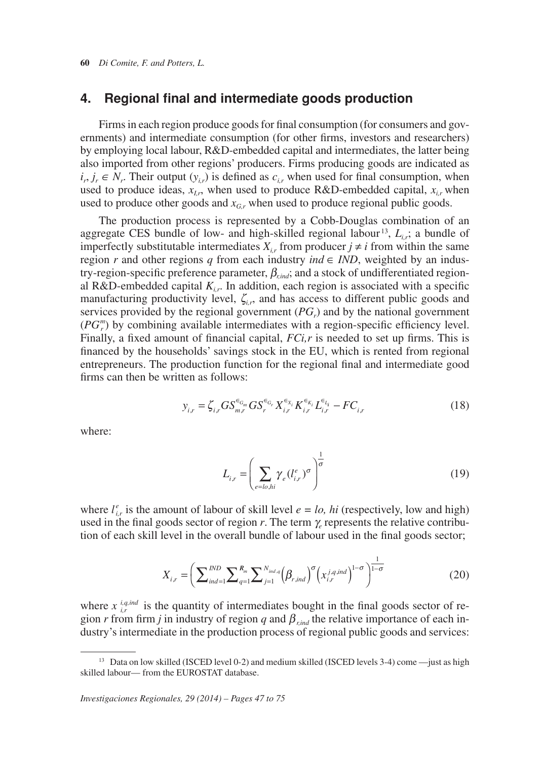## **4. Regional final and intermediate goods production**

 $i_r$ ,  $j_r \in N_r$ . Their output  $(y_{i,r})$  is defined as  $c_{i,r}$  when used for final consumption, when Firms in each region produce goods for final consumption (for consumers and governments) and intermediate consumption (for other firms, investors and researchers) by employing local labour, R&D-embedded capital and intermediates, the latter being also imported from other regions' producers. Firms producing goods are indicated as used to produce ideas,  $x_{i,r}$ , when used to produce R&D-embedded capital,  $x_{i,r}$  when used to produce other goods and  $x_G$ , when used to produce regional public goods.

 aggregate CES bundle of low- and high-skilled regional labour 13, *Li,r*; a bundle of imperfectly substitutable intermediates  $X_{i,r}$  from producer  $j \neq i$  from within the same *region r* and other regions *q* from each industry *ind*  $\in$  *IND*, weighted by an indus-The production process is represented by a Cobb-Douglas combination of an try-region-specific preference parameter, β*r,ind*; and a stock of undifferentiated regional R&D-embedded capital  $K_{i,r}$ . In addition, each region is associated with a specific manufacturing productivity level,  $\zeta_{ir}$ , and has access to different public goods and services provided by the regional government  $(PG<sub>r</sub>)$  and by the national government  $(PG<sub>r</sub><sup>m</sup>)$  by combining available intermediates with a region-specific efficiency level. Finally, a fixed amount of financial capital, *FCi,r* is needed to set up firms. This is financed by the households' savings stock in the EU, which is rented from regional entrepreneurs. The production function for the regional final and intermediate good firms can then be written as follows:

$$
y_{i,r} = \zeta_{i,r} G S_{m,r}^{\epsilon_{G_m}} G S_r^{\epsilon_{G_r}} X_{i,r}^{\epsilon_{X_i}} K_{i,r}^{\epsilon_{X_i}} L_{i,r}^{\epsilon_{L_i}} - F C_{i,r}
$$
(18)

where:

$$
L_{i,r} = \left(\sum_{e = l_o, hi} \gamma_e (l_{i,r}^e)^\sigma\right)^{\frac{1}{\sigma}}
$$
\n(19)

where  $l_{i,r}^e$  is the amount of labour of skill level  $e = l_o$ , *hi* (respectively, low and high) used in the final goods sector of region  $r$ . The term  $\gamma_e$  represents the relative contribution of each skill level in the overall bundle of labour used in the final goods sector;

$$
X_{i,r} = \left(\sum_{ind=1}^{IND} \sum_{q=1}^{R_m} \sum_{j=1}^{N_{ind,q}} (\beta_{r,ind})^{\sigma} (x_{i,r}^{j,q,ind})^{1-\sigma}\right)^{\frac{1}{1-\sigma}}
$$
(20)

where  $x_{ir}^{i,q,ind}$  is the quantity of intermediates bought in the final goods sector of region *r* from firm *j* in industry of region *q* and  $\beta_{\text{rind}}$  the relative importance of each industry's intermediate in the production process of regional public goods and services:

<sup>&</sup>lt;sup>13</sup> Data on low skilled (ISCED level 0-2) and medium skilled (ISCED levels 3-4) come —just as high skilled labour— from the EUROSTAT database.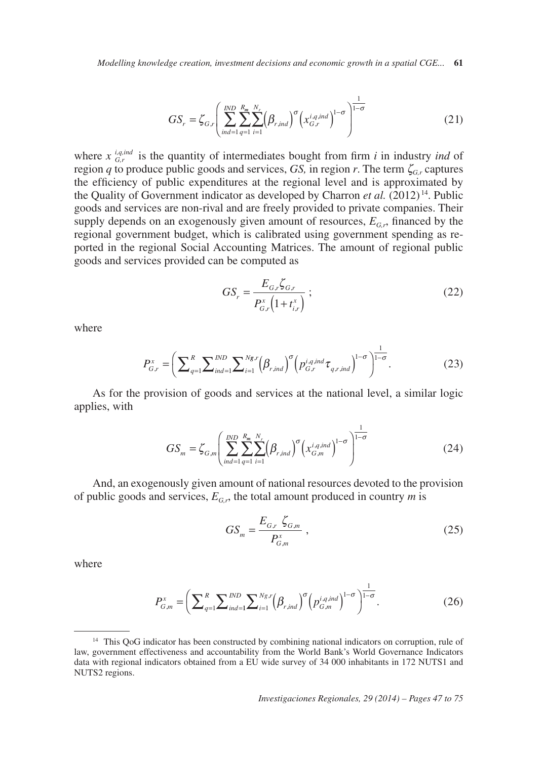*Modelling knowledge creation, investment decisions and economic growth in a spatial CGE...* **61** 

$$
GS_r = \zeta_{G,r} \left( \sum_{ind=1}^{IND} \sum_{q=1}^{R_m} \sum_{i=1}^{N_r} (\beta_{r,ind})^{\sigma} (x_{G,r}^{i,q,ind})^{1-\sigma} \right)^{\frac{1}{1-\sigma}}
$$
(21)

1

 the Quality of Government indicator as developed by Charron *et al.* (2012) 14. Public where  $x \, \frac{\partial q_i \, \text{ind}}{\partial r}$  is the quantity of intermediates bought from firm *i* in industry *ind* of region *q* to produce public goods and services, *GS*, in region *r*. The term  $\zeta_{Gr}$  captures the efficiency of public expenditures at the regional level and is approximated by goods and services are non-rival and are freely provided to private companies. Their supply depends on an exogenously given amount of resources,  $E_{G,r}$ , financed by the regional government budget, which is calibrated using government spending as reported in the regional Social Accounting Matrices. The amount of regional public goods and services provided can be computed as

$$
GS_r = \frac{E_{G,r}\zeta_{G,r}}{P_{G,r}^x \left(1 + t_{i,r}^x\right)}\tag{22}
$$

1

where

$$
P_{G,r}^{x} = \left(\sum_{q=1}^{R} \sum_{ind=1}^{IND} \sum_{i=1}^{Ng,r} (\beta_{r,ind})^{\sigma} \left(p_{G,r}^{i,q,ind} \tau_{q,r,ind}\right)^{1-\sigma}\right)^{1-\sigma}.
$$
 (23)

As for the provision of goods and services at the national level, a similar logic applies, with

$$
GS_m = \zeta_{G,m} \left( \sum_{ind=1}^{IND} \sum_{q=1}^{R_m} \sum_{i=1}^{N_r} \left( \beta_{r,ind} \right)^{\sigma} \left( x_{G,m}^{i,q,ind} \right)^{1-\sigma} \right)^{\frac{1}{1-\sigma}}
$$
(24)

And, an exogenously given amount of national resources devoted to the provision of public goods and services,  $E_{GP}$ , the total amount produced in country *m* is

$$
GS_m = \frac{E_{G,r} \, \zeta_{G,m}}{P_{G,m}^*} \,, \tag{25}
$$

where

$$
P_{G,m}^{x} = \left(\sum_{q=1}^{R} \sum_{ind=1}^{IND} \sum_{i=1}^{Ng,r} (\beta_{r,ind})^{\sigma} (p_{G,m}^{i,q,ind})^{1-\sigma}\right)^{\frac{1}{1-\sigma}}.
$$
 (26)

<sup>&</sup>lt;sup>14</sup> This QoG indicator has been constructed by combining national indicators on corruption, rule of law, government effectiveness and accountability from the World Bank's World Governance Indicators data with regional indicators obtained from a EU wide survey of 34 000 inhabitants in 172 NUTS1 and NUTS2 regions.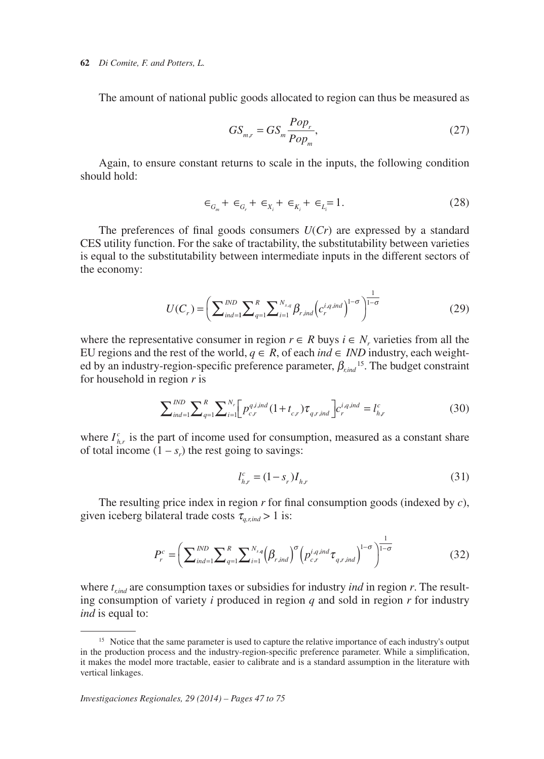#### **62** *Di Comite, F. and Potters, L.*

The amount of national public goods allocated to region can thus be measured as

$$
GS_{m,r} = GS_m \frac{Pop_r}{Pop_m},\tag{27}
$$

Again, to ensure constant returns to scale in the inputs, the following condition should hold:

$$
\epsilon_{G_m} + \epsilon_{G_r} + \epsilon_{X_i} + \epsilon_{K_i} + \epsilon_{L_i} = 1.
$$
 (28)

1

The preferences of final goods consumers  $U(Cr)$  are expressed by a standard CES utility function. For the sake of tractability, the substitutability between varieties is equal to the substitutability between intermediate inputs in the different sectors of the economy:

$$
U(C_r) = \left(\sum_{ind=1}^{IND} \sum_{q=1}^{R} \sum_{i=1}^{N_{s,q}} \beta_{r,ind} \left(c_r^{i,q,ind}\right)^{1-\sigma}\right)^{\frac{1}{1-\sigma}}
$$
(29)

EU regions and the rest of the world,  $q \in R$ , of each *ind* ∈ *IND* industry, each weightwhere the representative consumer in region  $r \in R$  buys  $i \in N_r$  varieties from all the ed by an industry-region-specific preference parameter, β*r,ind* 15. The budget constraint for household in region *r* is

$$
\sum_{ind=1}^{IND} \sum_{q=1}^{R} \sum_{i=1}^{N_r} \left[ p_{c,r}^{q,i,ind} \left( 1 + t_{c,r} \right) \tau_{q,r,ind} \right] c_r^{i,q,ind} = l_{h,r}^c \tag{30}
$$

where  $I_{hr}^c$  is the part of income used for consumption, measured as a constant share of total income  $(1 - s_r)$  the rest going to savings:

$$
l_{h,r}^c = (1 - s_r)I_{h,r}
$$
\n(31)

1

given iceberg bilateral trade costs  $\tau_{q,r,ind} > 1$  is: The resulting price index in region *r* for final consumption goods (indexed by *c*),

$$
P_r^c = \left(\sum_{ind=1}^{IND} \sum_{q=1}^R \sum_{i=1}^{N_{sq}} (\beta_{r,ind})^{\sigma} \left(p_{c,r}^{i,q,ind} \tau_{q,r,ind}\right)^{1-\sigma}\right)^{\frac{1}{1-\sigma}}
$$
(32)

where  $t_{\text{rind}}$  are consumption taxes or subsidies for industry *ind* in region  $r$ . The resulting consumption of variety *i* produced in region *q* and sold in region *r* for industry *ind* is equal to:

<sup>&</sup>lt;sup>15</sup> Notice that the same parameter is used to capture the relative importance of each industry's output in the production process and the industry-region-specific preference parameter. While a simplification, it makes the model more tractable, easier to calibrate and is a standard assumption in the literature with vertical linkages.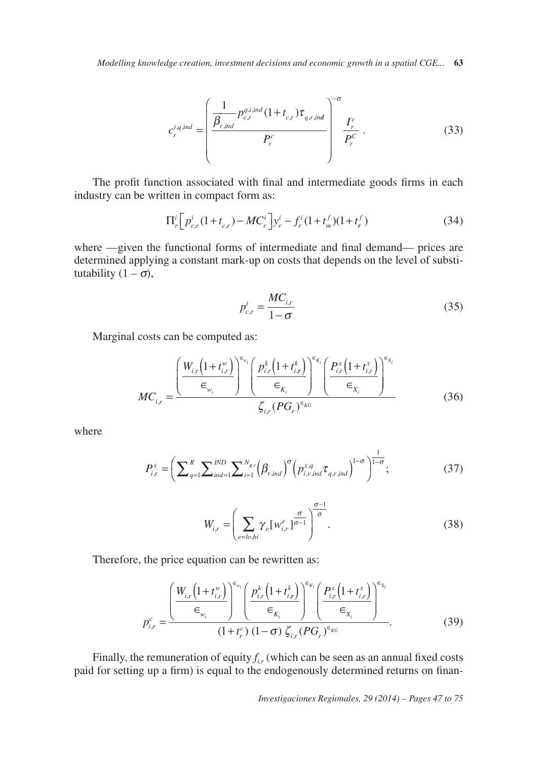*Modelling knowledge creation, investment decisions and economic growth in a spatial CGE...* **63** 

$$
c_r^{i,q,ind} = \left(\frac{\frac{1}{\beta_{r,ind}} p_{c,r}^{q,i,ind} (1+t_{c,r}) \tau_{q,r,ind}}{P_r^c}\right)^{-\sigma} \frac{I_r^c}{P_r^C}.
$$
 (33)

The profit function associated with final and intermediate goods firms in each industry can be written in compact form as:

$$
\Pi_r^i \left[ p_{c,r}^i (1 + t_{c,r}) - MC_r^i \right] y_r^i - f_r^i (1 + t_m^f) (1 + t_r^f) \tag{34}
$$

where —given the functional forms of intermediate and final demand— prices are determined applying a constant mark-up on costs that depends on the level of substi tutability  $(1 - \sigma)$ ,

$$
p_{c,r}^i = \frac{MC_{i,r}}{1-\sigma} \tag{35}
$$

Marginal costs can be computed as:

$$
MC_{i,r} = \frac{\left(\frac{W_{i,r}(1+t_{i,r}^w)}{\epsilon_{w_i}}\right)^{\epsilon_{w_i}} \left(\frac{p_{i,r}^k(1+t_{i,r}^k)}{\epsilon_{K_i}}\right)^{\epsilon_{K_i}} \left(\frac{P_{i,r}^x(1+t_{i,r}^x)}{\epsilon_{K_i}}\right)^{\epsilon_{K_i}}}{\zeta_{i,r}(PG_r)^{\epsilon_{KG}}}
$$
(36)

where

$$
P_{i,r}^{x} = \left(\sum_{q=1}^{R} \sum_{ind=1}^{IND} \sum_{i=1}^{N_{gr}} (\beta_{r,ind})^{\sigma} \left(p_{i,v,ind}^{x,q} \tau_{q,r,ind}\right)^{1-\sigma}\right)^{\frac{1}{1-\sigma}};
$$
\n(37)

$$
W_{i,r} = \left(\sum_{e=lo,hi} \gamma_e \left[w_{i,r}^e\right]^{\frac{\sigma}{\sigma}}\right)^{\frac{\sigma-1}{\sigma}}.
$$
 (38)

Therefore, the price equation can be rewritten as:

$$
p_{i,r}^c = \frac{\left(\frac{W_{i,r}\left(1+t_{i,r}^w\right)}{\epsilon_{w_i}}\right)^{\epsilon_{w_i}} \left(\frac{p_{i,r}^k\left(1+t_{i,r}^k\right)}{\epsilon_{K_i}}\right)^{\epsilon_{K_i}} \left(\frac{P_{i,r}^x\left(1+t_{i,r}^x\right)}{\epsilon_{X_i}}\right)^{\epsilon_{X_i}}}{\left(1+t_r^c\right)\left(1-\sigma\right) \zeta_{i,r} (PG_r)^{\epsilon_{KG}}}.
$$
 (39)

Finally, the remuneration of equity  $f_{ir}$  (which can be seen as an annual fixed costs paid for setting up a firm) is equal to the endogenously determined returns on finan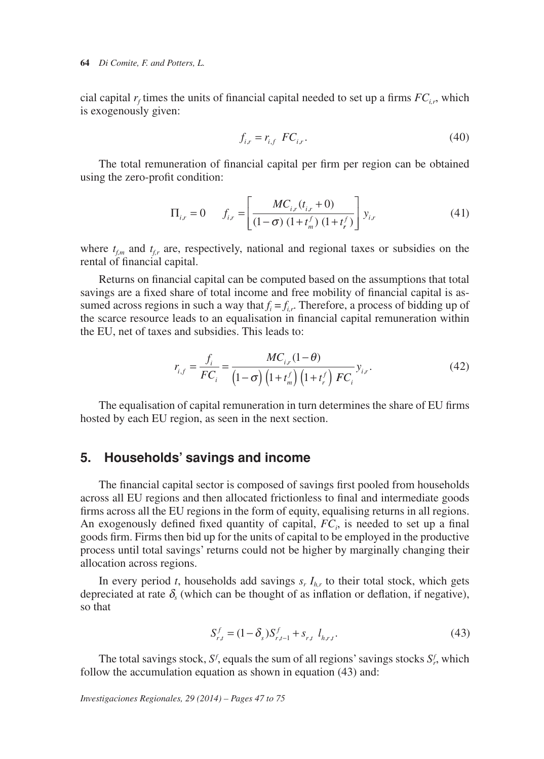cial capital  $r_f$  times the units of financial capital needed to set up a firms  $FC_{i,r}$ , which is exogenously given:

$$
f_{i,r} = r_{i,f} \quad FC_{i,r}.\tag{40}
$$

The total remuneration of financial capital per firm per region can be obtained using the zero-profit condition:

$$
\Pi_{i,r} = 0 \qquad f_{i,r} = \left[ \frac{MC_{i,r}(t_{i,r} + 0)}{(1 - \sigma) (1 + t_m^f) (1 + t_r^f)} \right] y_{i,r}
$$
(41)

where  $t_{fm}$  and  $t_{fr}$  are, respectively, national and regional taxes or subsidies on the rental of financial capital.

sumed across regions in such a way that  $f_i = f_{i,r}$ . Therefore, a process of bidding up of Returns on financial capital can be computed based on the assumptions that total savings are a fixed share of total income and free mobility of financial capital is asthe scarce resource leads to an equalisation in financial capital remuneration within the EU, net of taxes and subsidies. This leads to:

$$
r_{i,f} = \frac{f_i}{FC_i} = \frac{MC_{i,r}(1-\theta)}{(1-\sigma)\left(1+t_m^f\right)\left(1+t_r^f\right)FC_i} y_{i,r}.
$$
 (42)

The equalisation of capital remuneration in turn determines the share of EU firms hosted by each EU region, as seen in the next section.

# **5. Households' savings and income**

The financial capital sector is composed of savings first pooled from households across all EU regions and then allocated frictionless to final and intermediate goods firms across all the EU regions in the form of equity, equalising returns in all regions. An exogenously defined fixed quantity of capital,  $FC_i$ , is needed to set up a final goods firm. Firms then bid up for the units of capital to be employed in the productive process until total savings' returns could not be higher by marginally changing their allocation across regions.

In every period *t*, households add savings  $s_r I_{hr}$  to their total stock, which gets depreciated at rate  $\delta$ <sub>s</sub> (which can be thought of as inflation or deflation, if negative), so that

$$
S_{r,t}^f = (1 - \delta_s) S_{r,t-1}^f + s_{r,t} l_{h,r,t}.
$$
\n(43)

The total savings stock,  $S^f$ , equals the sum of all regions' savings stocks  $S^f$ , which follow the accumulation equation as shown in equation (43) and:

*Investigaciones Regionales, 29 (2014) – Pages 47 to 75*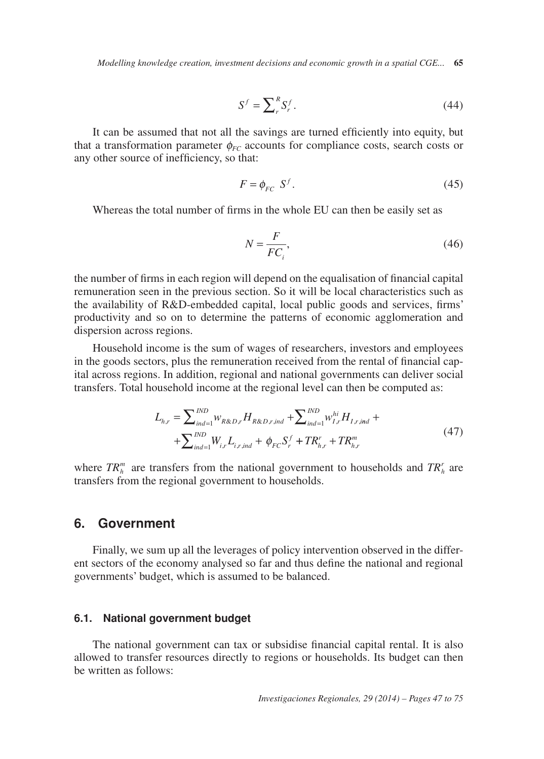*Modelling knowledge creation, investment decisions and economic growth in a spatial CGE...* **65** 

$$
S^f = \sum_r^R S_r^f. \tag{44}
$$

It can be assumed that not all the savings are turned efficiently into equity, but that a transformation parameter  $\phi_{FC}$  accounts for compliance costs, search costs or any other source of inefficiency, so that:

$$
F = \phi_{FC} \ S^f. \tag{45}
$$

Whereas the total number of firms in the whole EU can then be easily set as

$$
N = \frac{F}{FC_i},\tag{46}
$$

the number of firms in each region will depend on the equalisation of financial capital remuneration seen in the previous section. So it will be local characteristics such as the availability of R&D-embedded capital, local public goods and services, firms' productivity and so on to determine the patterns of economic agglomeration and dispersion across regions.

Household income is the sum of wages of researchers, investors and employees in the goods sectors, plus the remuneration received from the rental of financial capital across regions. In addition, regional and national governments can deliver social transfers. Total household income at the regional level can then be computed as:

$$
L_{h,r} = \sum_{ind=1}^{IND} W_{R\&D,r} H_{R\&D,r,ind} + \sum_{ind=1}^{IND} W_{I,r}^{hi} H_{I,r,ind} + + \sum_{ind=1}^{IND} W_{i,r} L_{i,r,ind} + \phi_{FC} S_r^f + TR_{h,r}^r + TR_{h,r}^m
$$
(47)

where  $TR_h^m$  are transfers from the national government to households and  $TR_h^r$  are transfers from the regional government to households.

### **6. Government**

Finally, we sum up all the leverages of policy intervention observed in the different sectors of the economy analysed so far and thus define the national and regional governments' budget, which is assumed to be balanced.

#### **6.1. National government budget**

The national government can tax or subsidise financial capital rental. It is also allowed to transfer resources directly to regions or households. Its budget can then be written as follows: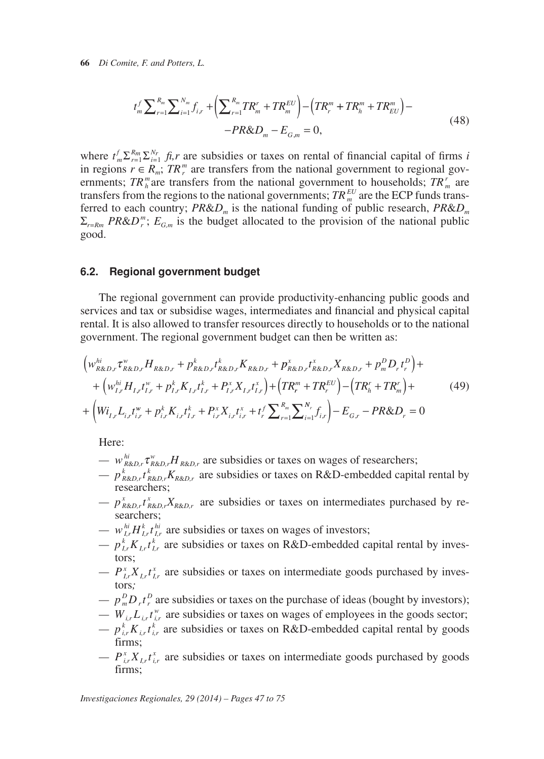$$
t_m^f \sum_{r=1}^{R_m} \sum_{i=1}^{N_m} f_{i,r} + \left( \sum_{r=1}^{R_m} TR_m^r + TR_m^{EU} \right) - \left( TR_r^m + TR_h^m + TR_{EU}^m \right) -
$$
  
-PR&D\_m - E\_{G,m} = 0, \t(48)

where  $t_m^f \sum_{r=1}^{R_m} \sum_{i=1}^{N_r} f_i$ , are subsidies or taxes on rental of financial capital of firms *i* in regions  $r \in R_m$ ;  $TR_r^m$  are transfers from the national government to regional governments;  $TR_n^m$  are transfers from the national government to households;  $TR_n^r$  are transfers from the regions to the national governments;  $TR_{m}^{EU}$  are the ECP funds transferred to each country;  $PR&D_m$  is the national funding of public research,  $PR&D_m$  $\Sigma_{r=Rm}$  *PR&D<sup>m</sup>*;  $E_{G,m}$  is the budget allocated to the provision of the national public good.

#### **6.2. Regional government budget**

The regional government can provide productivity-enhancing public goods and services and tax or subsidise wages, intermediates and financial and physical capital rental. It is also allowed to transfer resources directly to households or to the national government. The regional government budget can then be written as:

$$
\begin{split}\n&\left(w_{R\&D,r}^{hi}\tau_{R\&D,r}^{w}H_{R\&D,r}+p_{R\&D,r}^{k}t_{R\&D,r}^{k}K_{R\&D,r}+p_{R\&D,r}^{x}t_{R\&D,r}^{x}K_{R\&D,r}+p_{m}^{D}D_{r}t_{r}^{D}\right)+\\
&+\left(w_{I,r}^{hi}H_{I,r}t_{I,r}^{w}+p_{I,r}^{k}K_{I,r}t_{I,r}^{k}+P_{I,r}^{x}X_{I,r}t_{I,r}^{x}\right)+\left(TR_{r}^{m}+TR_{r}^{EU}\right)-\left(TR_{h}^{r}+TR_{m}^{Y}\right)+\\
&+\left(W_{I,r}L_{i,r}t_{i,r}^{w}+p_{i,r}^{k}K_{i,r}t_{I,r}^{k}+P_{i,r}^{x}X_{i,r}t_{i,r}^{x}+t_{r}^{f}\sum_{r=1}^{R_{m}}\sum_{i=1}^{N_{r}}f_{i,r}\right)-E_{G,r}-PR\&D_{r}=0\n\end{split} \tag{49}
$$

Here:

- $w_{R\&D,r}^{hi} \tau_{R\&D,r}^w H_{R\&D,r}$  are subsidies or taxes on wages of researchers;
- $p_{R\&D,r}^k t_{R\&D,r}^k K_{R\&D,r}$  are subsidies or taxes on R&D-embedded capital rental by researchers;
- $-p_{R\&D,r}^x t_{R\&D,r}^x X_{R\&D,r}$  are subsidies or taxes on intermediates purchased by researchers;
- $w_{I,r}^{hi} H_{I,r}^k t_{I,r}^{hi}$  are subsidies or taxes on wages of investors;
- $-p_{i,r}^{k}K_{i,r}t_{i,r}^{k}$  are subsidies or taxes on R&D-embedded capital rental by investors;
- $P_{i,r}^{x} X_{i,r} t_{i,r}^{x}$  are subsidies or taxes on intermediate goods purchased by investors*;*
- $-\frac{p_m^D D_r t_r^D}{p}$  are subsidies or taxes on the purchase of ideas (bought by investors);
- $-W_{i,r}L_{i,r}t_{i,r}^{\nu}$  are subsidies or taxes on wages of employees in the goods sector;
- $p_{i,r}^k K_{i,r} t_{i,r}^k$  are subsidies or taxes on R&D-embedded capital rental by goods firms;
- $P_{i,r}^{\alpha} X_{i,r} t_{i,r}^{\alpha}$  are subsidies or taxes on intermediate goods purchased by goods firms;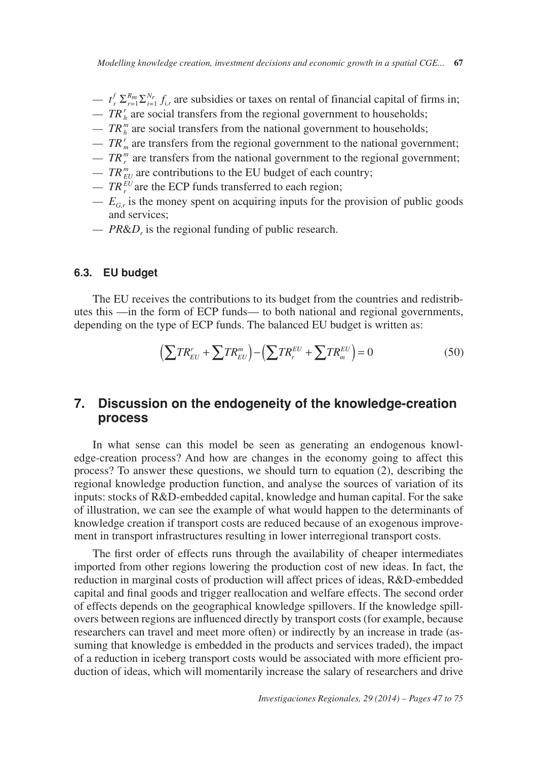*Modelling knowledge creation, investment decisions and economic growth in a spatial CGE...* **67** 

- $t_r^f \sum_{r=1}^{R_m} \sum_{i=1}^{N_r} f_{i,r}$  are subsidies or taxes on rental of financial capital of firms in;
- $TR<sub>h</sub><sup>r</sup>$  are social transfers from the regional government to households;
- $\cdots$  *TR*<sup>*m*</sup> are social transfers from the national government to households;
- $TR<sub>m</sub><sup>r</sup>$  are transfers from the regional government to the national government;
- $TR_{r}^{m}$  are transfers from the national government to the regional government;
- $TR_{EU}^m$  are contributions to the EU budget of each country;
- $-TR_r^{EU}$  are the ECP funds transferred to each region;
- $E_{G,r}$  is the money spent on acquiring inputs for the provision of public goods and services;
- *PR&D<sub>r</sub>* is the regional funding of public research.

#### **6.3. EU budget**

The EU receives the contributions to its budget from the countries and redistributes this —in the form of ECP funds— to both national and regional governments, depending on the type of ECP funds. The balanced EU budget is written as:

$$
\left(\sum TR_{EU}^r + \sum TR_{EU}^m\right) - \left(\sum TR_r^{EU} + \sum TR_m^{EU}\right) = 0\tag{50}
$$

#### $\mathbf{7}$ . **Discussion on the endogeneity of the knowledge-creation process**

In what sense can this model be seen as generating an endogenous knowledge-creation process? And how are changes in the economy going to affect this process? To answer these questions, we should turn to equation (2), describing the regional knowledge production function, and analyse the sources of variation of its inputs: stocks of R&D-embedded capital, knowledge and human capital. For the sake of illustration, we can see the example of what would happen to the determinants of knowledge creation if transport costs are reduced because of an exogenous improvement in transport infrastructures resulting in lower interregional transport costs.

The first order of effects runs through the availability of cheaper intermediates imported from other regions lowering the production cost of new ideas. In fact, the reduction in marginal costs of production will affect prices of ideas, R&D-embedded capital and final goods and trigger reallocation and welfare effects. The second order of effects depends on the geographical knowledge spillovers. If the knowledge spillovers between regions are influenced directly by transport costs (for example, because researchers can travel and meet more often) or indirectly by an increase in trade (assuming that knowledge is embedded in the products and services traded), the impact of a reduction in iceberg transport costs would be associated with more efficient production of ideas, which will momentarily increase the salary of researchers and drive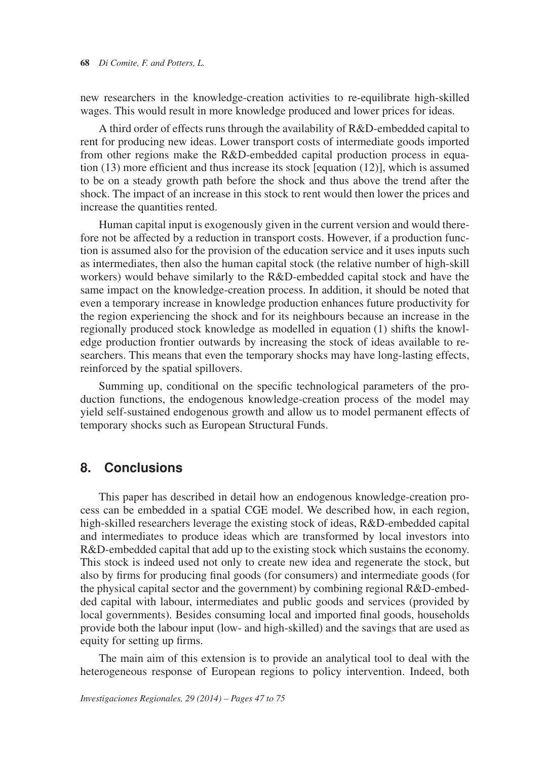new researchers in the knowledge-creation activities to re-equilibrate high-skilled wages. This would result in more knowledge produced and lower prices for ideas.

A third order of effects runs through the availability of R&D-embedded capital to rent for producing new ideas. Lower transport costs of intermediate goods imported from other regions make the R&D-embedded capital production process in equation (13) more efficient and thus increase its stock [equation (12)], which is assumed to be on a steady growth path before the shock and thus above the trend after the shock. The impact of an increase in this stock to rent would then lower the prices and increase the quantities rented.

Human capital input is exogenously given in the current version and would therefore not be affected by a reduction in transport costs. However, if a production function is assumed also for the provision of the education service and it uses inputs such as intermediates, then also the human capital stock (the relative number of high-skill workers) would behave similarly to the R&D-embedded capital stock and have the same impact on the knowledge-creation process. In addition, it should be noted that even a temporary increase in knowledge production enhances future productivity for the region experiencing the shock and for its neighbours because an increase in the regionally produced stock knowledge as modelled in equation (1) shifts the knowledge production frontier outwards by increasing the stock of ideas available to researchers. This means that even the temporary shocks may have long-lasting effects, reinforced by the spatial spillovers.

Summing up, conditional on the specific technological parameters of the production functions, the endogenous knowledge-creation process of the model may yield self-sustained endogenous growth and allow us to model permanent effects of temporary shocks such as European Structural Funds.

## **8. Conclusions**

This paper has described in detail how an endogenous knowledge-creation process can be embedded in a spatial CGE model. We described how, in each region, high-skilled researchers leverage the existing stock of ideas, R&D-embedded capital and intermediates to produce ideas which are transformed by local investors into R&D-embedded capital that add up to the existing stock which sustains the economy. This stock is indeed used not only to create new idea and regenerate the stock, but also by firms for producing final goods (for consumers) and intermediate goods (for the physical capital sector and the government) by combining regional R&D-embedded capital with labour, intermediates and public goods and services (provided by local governments). Besides consuming local and imported final goods, households provide both the labour input (low- and high-skilled) and the savings that are used as equity for setting up firms.

The main aim of this extension is to provide an analytical tool to deal with the heterogeneous response of European regions to policy intervention. Indeed, both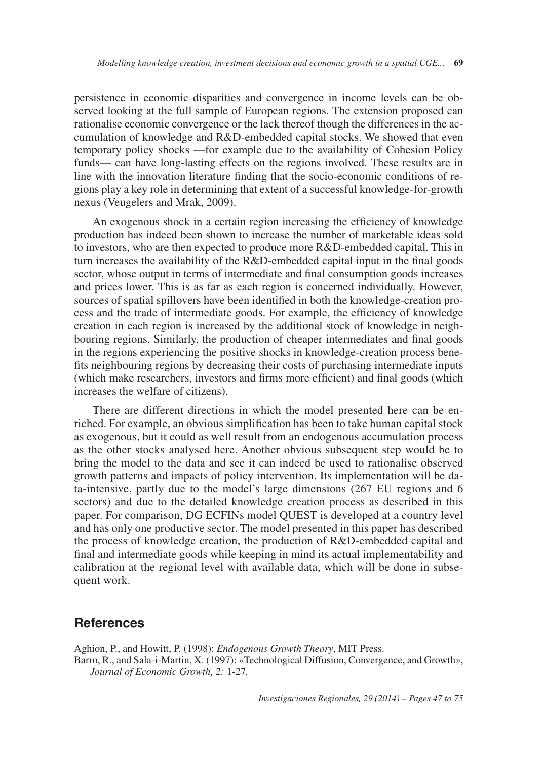persistence in economic disparities and convergence in income levels can be observed looking at the full sample of European regions. The extension proposed can rationalise economic convergence or the lack thereof though the differences in the accumulation of knowledge and R&D-embedded capital stocks. We showed that even temporary policy shocks —for example due to the availability of Cohesion Policy funds— can have long-lasting effects on the regions involved. These results are in line with the innovation literature finding that the socio-economic conditions of regions play a key role in determining that extent of a successful knowledge-for-growth nexus (Veugelers and Mrak, 2009).

An exogenous shock in a certain region increasing the efficiency of knowledge production has indeed been shown to increase the number of marketable ideas sold to investors, who are then expected to produce more R&D-embedded capital. This in turn increases the availability of the R&D-embedded capital input in the final goods sector, whose output in terms of intermediate and final consumption goods increases and prices lower. This is as far as each region is concerned individually. However, sources of spatial spillovers have been identified in both the knowledge-creation process and the trade of intermediate goods. For example, the efficiency of knowledge creation in each region is increased by the additional stock of knowledge in neighbouring regions. Similarly, the production of cheaper intermediates and final goods in the regions experiencing the positive shocks in knowledge-creation process benefits neighbouring regions by decreasing their costs of purchasing intermediate inputs (which make researchers, investors and firms more efficient) and final goods (which increases the welfare of citizens).

There are different directions in which the model presented here can be enriched. For example, an obvious simplification has been to take human capital stock as exogenous, but it could as well result from an endogenous accumulation process as the other stocks analysed here. Another obvious subsequent step would be to bring the model to the data and see it can indeed be used to rationalise observed growth patterns and impacts of policy intervention. Its implementation will be data-intensive, partly due to the model's large dimensions (267 EU regions and 6 sectors) and due to the detailed knowledge creation process as described in this paper. For comparison, DG ECFINs model QUEST is developed at a country level and has only one productive sector. The model presented in this paper has described the process of knowledge creation, the production of R&D-embedded capital and final and intermediate goods while keeping in mind its actual implementability and calibration at the regional level with available data, which will be done in subsequent work.

## **References**

Aghion, P., and Howitt, P. (1998): *Endogenous Growth Theory*, MIT Press. Barro, R., and Sala-i-Martin, X. (1997): «Technological Diffusion, Convergence, and Growth», *Journal of Economic Growth, 2:* 1-27*.*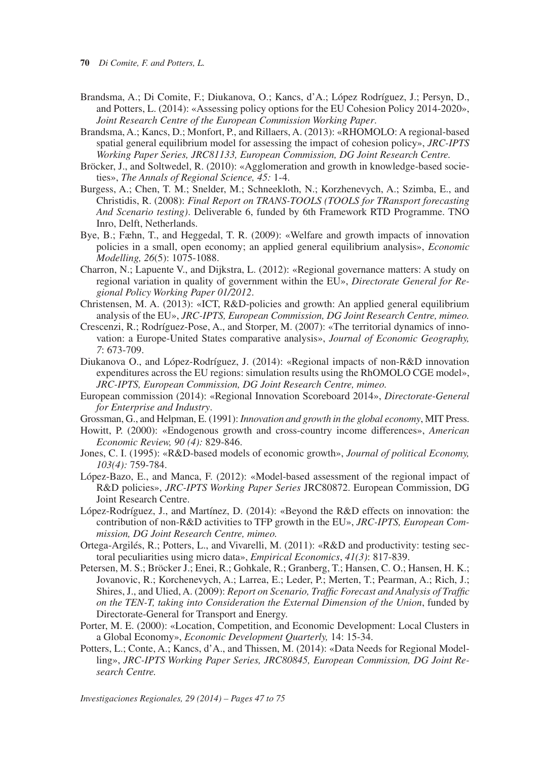- **70** *Di Comite, F. and Potters, L.*
- Brandsma, A.; Di Comite, F.; Diukanova, O.; Kancs, d'A.; López Rodríguez, J.; Persyn, D., and Potters, L. (2014): «Assessing policy options for the EU Cohesion Policy 2014-2020», *Joint Research Centre of the European Commission Working Paper*.
- Brandsma, A.; Kancs, D.; Monfort, P., and Rillaers, A. (2013): «RHOMOLO: A regional-based spatial general equilibrium model for assessing the impact of cohesion policy», *JRC-IPTS Working Paper Series, JRC81133, European Commission, DG Joint Research Centre.*
- Bröcker, J., and Soltwedel, R. (2010): «Agglomeration and growth in knowledge-based societies», *The Annals of Regional Science, 45:* 1-4.
- Burgess, A.; Chen, T. M.; Snelder, M.; Schneekloth, N.; Korzhenevych, A.; Szimba, E., and Christidis, R. (2008): *Final Report on TRANS-TOOLS (TOOLS for TRansport forecasting And Scenario testing)*. Deliverable 6, funded by 6th Framework RTD Programme. TNO Inro, Delft, Netherlands.
- Bye, B.; Fæhn, T., and Heggedal, T. R. (2009): «Welfare and growth impacts of innovation policies in a small, open economy; an applied general equilibrium analysis», *Economic Modelling, 26*(5): 1075-1088.
- Charron, N.; Lapuente V., and Dijkstra, L. (2012): «Regional governance matters: A study on regional variation in quality of government within the EU», *Directorate General for Regional Policy Working Paper 01/2012*.
- Christensen, M. A. (2013): «ICT, R&D-policies and growth: An applied general equilibrium analysis of the EU», *JRC-IPTS, European Commission, DG Joint Research Centre, mimeo.*
- Crescenzi, R.; Rodríguez-Pose, A., and Storper, M. (2007): «The territorial dynamics of innovation: a Europe-United States comparative analysis», *Journal of Economic Geography, 7*: 673-709.
- Diukanova O., and López-Rodríguez, J. (2014): «Regional impacts of non-R&D innovation expenditures across the EU regions: simulation results using the RhOMOLO CGE model», *JRC-IPTS, European Commission, DG Joint Research Centre, mimeo.*
- European commission (2014): «Regional Innovation Scoreboard 2014», *Directorate-General for Enterprise and Industry*.
- Grossman, G., and Helpman, E. (1991): *Innovation and growth in the global economy*, MIT Press.
- Howitt, P. (2000): «Endogenous growth and cross-country income differences», *American Economic Review, 90 (4):* 829-846.
- Jones, C. I. (1995): «R&D-based models of economic growth», *Journal of political Economy, 103(4):* 759-784.
- López-Bazo, E., and Manca, F. (2012): «Model-based assessment of the regional impact of R&D policies», *JRC-IPTS Working Paper Series* JRC80872. European Commission, DG Joint Research Centre.
- López-Rodríguez, J., and Martínez, D. (2014): «Beyond the R&D effects on innovation: the contribution of non-R&D activities to TFP growth in the EU», *JRC-IPTS, European Commission, DG Joint Research Centre, mimeo.*
- Ortega-Argilés, R.; Potters, L., and Vivarelli, M. (2011): «R&D and productivity: testing sectoral peculiarities using micro data», *Empirical Economics*, *41(3)*: 817-839.
- Petersen, M. S.; Bröcker J.; Enei, R.; Gohkale, R.; Granberg, T.; Hansen, C. O.; Hansen, H. K.; Jovanovic, R.; Korchenevych, A.; Larrea, E.; Leder, P.; Merten, T.; Pearman, A.; Rich, J.; Shires, J., and Ulied, A. (2009): *Report on Scenario, Traffic Forecast and Analysis of Traffic on the TEN-T, taking into Consideration the External Dimension of the Union*, funded by Directorate-General for Transport and Energy.
- Porter, M. E. (2000): «Location, Competition, and Economic Development: Local Clusters in a Global Economy», *Economic Development Quarterly,* 14: 15-34.
- Potters, L.; Conte, A.; Kancs, d'A., and Thissen, M. (2014): «Data Needs for Regional Modelling», *JRC-IPTS Working Paper Series, JRC80845, European Commission, DG Joint Research Centre.*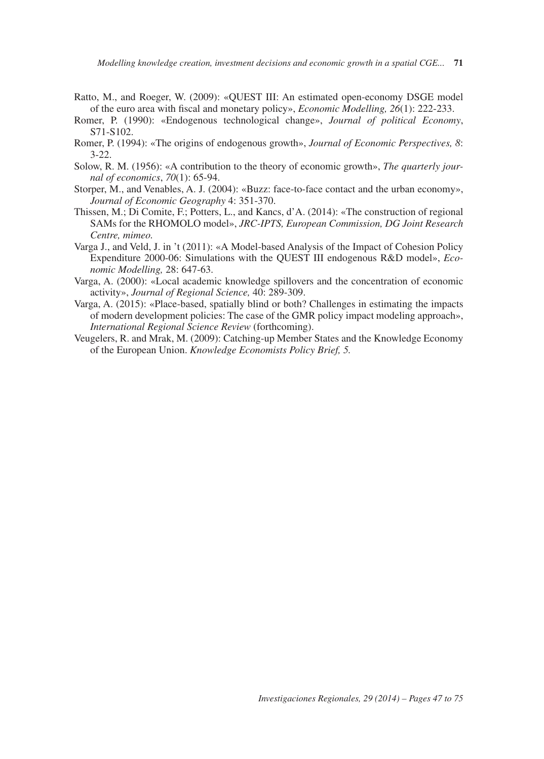- Ratto, M., and Roeger, W. (2009): «QUEST III: An estimated open-economy DSGE model of the euro area with fiscal and monetary policy», *Economic Modelling, 26*(1): 222-233.
- Romer, P. (1990): «Endogenous technological change», *Journal of political Economy*, S71-S102.
- Romer, P. (1994): «The origins of endogenous growth», *Journal of Economic Perspectives, 8*: 3-22.
- Solow, R. M. (1956): «A contribution to the theory of economic growth», *The quarterly journal of economics*, *70*(1): 65-94.
- Storper, M., and Venables, A. J. (2004): «Buzz: face-to-face contact and the urban economy», *Journal of Economic Geography* 4: 351-370.
- Thissen, M.; Di Comite, F.; Potters, L., and Kancs, d'A. (2014): «The construction of regional SAMs for the RHOMOLO model», *JRC-IPTS, European Commission, DG Joint Research Centre, mimeo.*
- Varga J., and Veld, J. in 't (2011): «A Model-based Analysis of the Impact of Cohesion Policy Expenditure 2000-06: Simulations with the QUEST III endogenous R&D model», *Economic Modelling,* 28: 647-63.
- Varga, A. (2000): «Local academic knowledge spillovers and the concentration of economic activity», *Journal of Regional Science,* 40: 289-309.
- Varga, A. (2015): «Place-based, spatially blind or both? Challenges in estimating the impacts of modern development policies: The case of the GMR policy impact modeling approach», *International Regional Science Review* (forthcoming).
- Veugelers, R. and Mrak, M. (2009): Catching-up Member States and the Knowledge Economy of the European Union. *Knowledge Economists Policy Brief, 5.*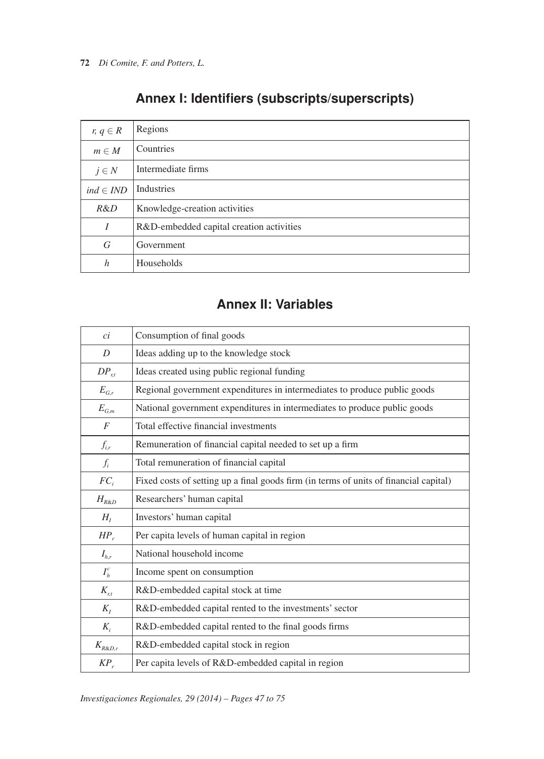| $r, q \in R$     | Regions                                  |
|------------------|------------------------------------------|
| $m \in M$        | Countries                                |
| $j \in N$        | Intermediate firms                       |
| $ind \in IND$    | <b>Industries</b>                        |
| R&D              | Knowledge-creation activities            |
| I                | R&D-embedded capital creation activities |
| G                | Government                               |
| $\boldsymbol{h}$ | Households                               |

# **Annex I: Identifiers (subscripts/superscripts)**

# **Annex II: Variables**

| ci                                       | Consumption of final goods                                                            |
|------------------------------------------|---------------------------------------------------------------------------------------|
| D                                        | Ideas adding up to the knowledge stock                                                |
| $DP_{rt}$                                | Ideas created using public regional funding                                           |
| $E_{G,r}$                                | Regional government expenditures in intermediates to produce public goods             |
| $\mathcal{E}_{\mathcal{G},\mathfrak{m}}$ | National government expenditures in intermediates to produce public goods             |
| $\overline{F}$                           | Total effective financial investments                                                 |
| $f_{i,r}$                                | Remuneration of financial capital needed to set up a firm                             |
| $f_i$                                    | Total remuneration of financial capital                                               |
| $FC_i$                                   | Fixed costs of setting up a final goods firm (in terms of units of financial capital) |
| $H_{R\&D}$                               | Researchers' human capital                                                            |
| $H_I$                                    | Investors' human capital                                                              |
| $HP_r$                                   | Per capita levels of human capital in region                                          |
| $I_{hr}$                                 | National household income                                                             |
| $I_h^c$                                  | Income spent on consumption                                                           |
| $K_{r,t}$                                | R&D-embedded capital stock at time                                                    |
| $K_I$                                    | R&D-embedded capital rented to the investments' sector                                |
| $K_i$                                    | R&D-embedded capital rented to the final goods firms                                  |
| $K_{R\&D,r}$                             | R&D-embedded capital stock in region                                                  |
| $KP_r$                                   | Per capita levels of R&D-embedded capital in region                                   |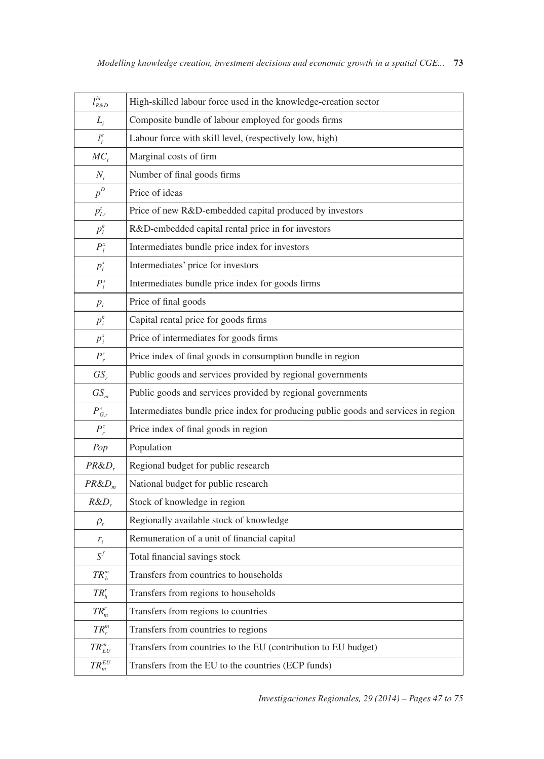| $l_{R\&D}^{hi}$  | High-skilled labour force used in the knowledge-creation sector                    |
|------------------|------------------------------------------------------------------------------------|
| $L_i$            | Composite bundle of labour employed for goods firms                                |
| $l_i^e$          | Labour force with skill level, (respectively low, high)                            |
| $MC_i$           | Marginal costs of firm                                                             |
| $N_i$            | Number of final goods firms                                                        |
| $p^D$            | Price of ideas                                                                     |
| $p_{I,r}^z$      | Price of new R&D-embedded capital produced by investors                            |
| $p_l^k$          | R&D-embedded capital rental price in for investors                                 |
| $P_l^x$          | Intermediates bundle price index for investors                                     |
| $p_i^x$          | Intermediates' price for investors                                                 |
| $P_i^x$          | Intermediates bundle price index for goods firms                                   |
| $p_i$            | Price of final goods                                                               |
| $p_i^k$          | Capital rental price for goods firms                                               |
| $p_i^x$          | Price of intermediates for goods firms                                             |
| $P_r^c$          | Price index of final goods in consumption bundle in region                         |
| $GS_r$           | Public goods and services provided by regional governments                         |
| $GS_{m}$         | Public goods and services provided by regional governments                         |
| $P_{G,r}^x$      | Intermediates bundle price index for producing public goods and services in region |
| $P_r^c$          | Price index of final goods in region                                               |
| Pop              | Population                                                                         |
| $PR&D_r$         | Regional budget for public research                                                |
| $PR&D_m$         | National budget for public research                                                |
| $R&D_r$          | Stock of knowledge in region                                                       |
| $\rho_r$         | Regionally available stock of knowledge                                            |
| $r_i$            | Remuneration of a unit of financial capital                                        |
| $S^f$            | Total financial savings stock                                                      |
| $TR_h^m$         | Transfers from countries to households                                             |
| $TR'_h$          | Transfers from regions to households                                               |
| $TR_m^r$         | Transfers from regions to countries                                                |
| $TR_r^m$         | Transfers from countries to regions                                                |
| $TR_{EU}^m$      | Transfers from countries to the EU (contribution to EU budget)                     |
| $TR_m^{\cal EU}$ | Transfers from the EU to the countries (ECP funds)                                 |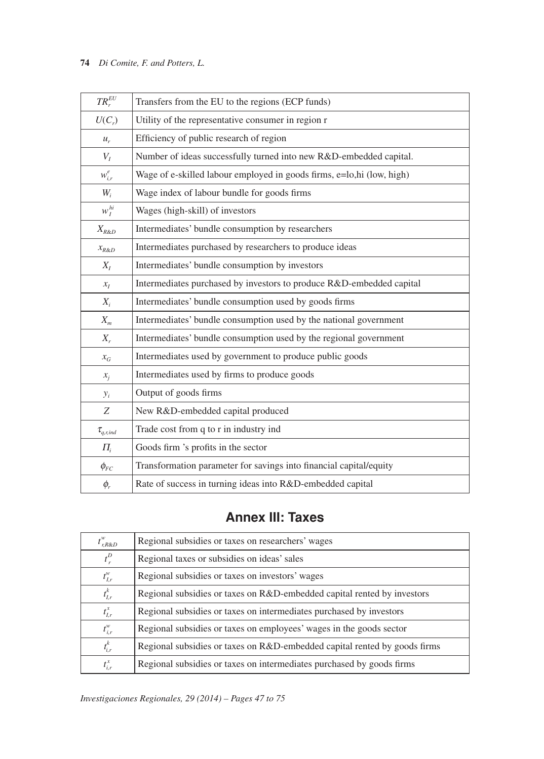### **74** *Di Comite, F. and Potters, L.*

| $TR_r^{EU}$      | Transfers from the EU to the regions (ECP funds)                      |
|------------------|-----------------------------------------------------------------------|
| $U(C_r)$         | Utility of the representative consumer in region r                    |
| $u_r$            | Efficiency of public research of region                               |
| $V_I$            | Number of ideas successfully turned into new R&D-embedded capital.    |
| $w_{i,r}^e$      | Wage of e-skilled labour employed in goods firms, e=lo,hi (low, high) |
| $W_i$            | Wage index of labour bundle for goods firms                           |
| $w_I^{hi}$       | Wages (high-skill) of investors                                       |
| $X_{R\&D}$       | Intermediates' bundle consumption by researchers                      |
| $x_{R\&D}$       | Intermediates purchased by researchers to produce ideas               |
| $X_I$            | Intermediates' bundle consumption by investors                        |
| $x_I$            | Intermediates purchased by investors to produce R&D-embedded capital  |
| $X_i$            | Intermediates' bundle consumption used by goods firms                 |
| $X_m$            | Intermediates' bundle consumption used by the national government     |
| $X_{r}$          | Intermediates' bundle consumption used by the regional government     |
| $x_G$            | Intermediates used by government to produce public goods              |
| $x_i$            | Intermediates used by firms to produce goods                          |
| $y_i$            | Output of goods firms                                                 |
| Z                | New R&D-embedded capital produced                                     |
| $\tau_{q,r,ind}$ | Trade cost from q to r in industry ind                                |
| $\Pi_i$          | Goods firm 's profits in the sector                                   |
| $\phi_{FC}$      | Transformation parameter for savings into financial capital/equity    |
| $\phi_r$         | Rate of success in turning ideas into R&D-embedded capital            |

# **Annex III: Taxes**

| $t^w_{r,R\&D}$ | Regional subsidies or taxes on researchers' wages                         |
|----------------|---------------------------------------------------------------------------|
| $t_r^D$        | Regional taxes or subsidies on ideas' sales                               |
| $t^w_{I,r}$    | Regional subsidies or taxes on investors' wages                           |
| $t_{I,r}^k$    | Regional subsidies or taxes on R&D-embedded capital rented by investors   |
| $t_{I,r}^x$    | Regional subsidies or taxes on intermediates purchased by investors       |
| $t_{i,r}^w$    | Regional subsidies or taxes on employees' wages in the goods sector       |
| $t_{i,r}^k$    | Regional subsidies or taxes on R&D-embedded capital rented by goods firms |
| $t_{i,r}^x$    | Regional subsidies or taxes on intermediates purchased by goods firms     |

*Investigaciones Regionales, 29 (2014) – Pages 47 to 75*